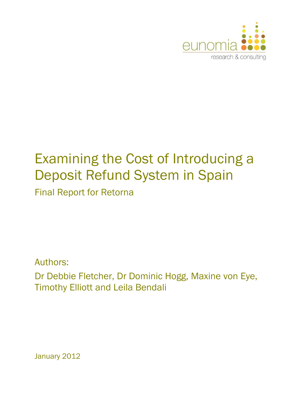

# Examining the Cost of Introducing a Deposit Refund System in Spain Final Report for Retorna

Authors:

Dr Debbie Fletcher, Dr Dominic Hogg, Maxine von Eye, Timothy Elliott and Leila Bendali

January 2012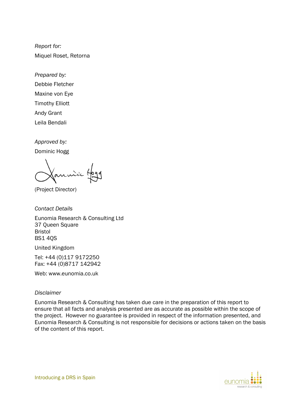*Report for:*  Miquel Roset, Retorna

*Prepared by:* 

Debbie Fletcher Maxine von Eye Timothy Elliott

Andy Grant

Leila Bendali

*Approved by:* 

Dominic Hogg

(Project Director)

*Contact Details*  Eunomia Research & Consulting Ltd 37 Queen Square Bristol BS1 4QS

United Kingdom

Tel: +44 (0)117 9172250 Fax: +44 (0)8717 142942

Web: www.eunomia.co.uk

#### *Disclaimer*

Eunomia Research & Consulting has taken due care in the preparation of this report to ensure that all facts and analysis presented are as accurate as possible within the scope of the project. However no guarantee is provided in respect of the information presented, and Eunomia Research & Consulting is not responsible for decisions or actions taken on the basis of the content of this report.

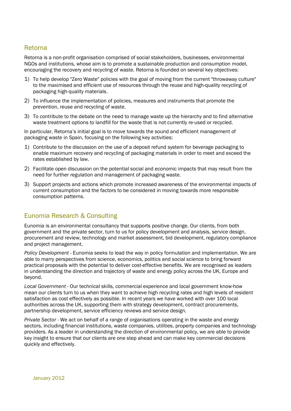#### Retorna

Retorna is a non-profit organisation comprised of social stakeholders, businesses, environmental NGOs and institutions, whose aim is to promote a sustainable production and consumption model, encouraging the recovery and recycling of waste. Retorna is founded on several key objectives:

- 1) To help develop "Zero Waste" policies with the goal of moving from the current "throwaway culture" to the maximised and efficient use of resources through the reuse and high-quality recycling of packaging high-quality materials.
- 2) To influence the implementation of policies, measures and instruments that promote the prevention, reuse and recycling of waste.
- 3) To contribute to the debate on the need to manage waste up the hierarchy and to find alternative waste treatment options to landfill for the waste that is not currently re-used or recycled.

In particular, Retorna's initial goal is to move towards the sound and efficient management of packaging waste in Spain, focusing on the following key activities:

- 1) Contribute to the discussion on the use of a deposit refund system for beverage packaging to enable maximum recovery and recycling of packaging materials in order to meet and exceed the rates established by law.
- 2) Facilitate open discussion on the potential social and economic impacts that may result from the need for further regulation and management of packaging waste.
- 3) Support projects and actions which promote increased awareness of the environmental impacts of current consumption and the factors to be considered in moving towards more responsible consumption patterns.

### Eunomia Research & Consulting

Eunomia is an environmental consultancy that supports positive change. Our clients, from both government and the private sector, turn to us for policy development and analysis, service design, procurement and review, technology and market assessment, bid development, regulatory compliance and project management.

*Policy Development* - Eunomia seeks to lead the way in policy formulation and implementation. We are able to marry perspectives from science, economics, politics and social science to bring forward practical proposals with the potential to deliver cost-effective benefits. We are recognised as leaders in understanding the direction and trajectory of waste and energy policy across the UK, Europe and beyond.

*Local Government* - Our technical skills, commercial experience and local government know-how mean our clients turn to us when they want to achieve high recycling rates and high levels of resident satisfaction as cost effectively as possible. In recent years we have worked with over 100 local authorities across the UK, supporting them with strategy development, contract procurements, partnership development, service efficiency reviews and service design.

*Private Sector* - We act on behalf of a range of organisations operating in the waste and energy sectors, including financial institutions, waste companies, utilities, property companies and technology providers. As a leader in understanding the direction of environmental policy, we are able to provide key insight to ensure that our clients are one step ahead and can make key commercial decisions quickly and effectively.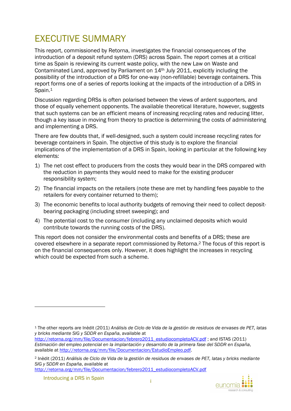# EXECUTIVE SUMMARY

This report, commissioned by Retorna, investigates the financial consequences of the introduction of a deposit refund system (DRS) across Spain. The report comes at a critical time as Spain is reviewing its current waste policy, with the new Law on Waste and Contaminated Land, approved by Parliament on 14th July 2011, explicitly including the possibility of the introduction of a DRS for one-way (non-refillable) beverage containers. This report forms one of a series of reports looking at the impacts of the introduction of a DRS in Spain.<sup>1</sup>

Discussion regarding DRSs is often polarised between the views of ardent supporters, and those of equally vehement opponents. The available theoretical literature, however, suggests that such systems can be an efficient means of increasing recycling rates and reducing litter, though a key issue in moving from theory to practice is determining the costs of administering and implementing a DRS.

There are few doubts that, if well-designed, such a system could increase recycling rates for beverage containers in Spain. The objective of this study is to explore the financial implications of the implementation of a DRS in Spain, looking in particular at the following key elements:

- 1) The net cost effect to producers from the costs they would bear in the DRS compared with the reduction in payments they would need to make for the existing producer responsibility system;
- 2) The financial impacts on the retailers (note these are met by handling fees payable to the retailers for every container returned to them);
- 3) The economic benefits to local authority budgets of removing their need to collect depositbearing packaging (including street sweeping); and
- 4) The potential cost to the consumer (including any unclaimed deposits which would contribute towards the running costs of the DRS).

This report does not consider the environmental costs and benefits of a DRS; these are covered elsewhere in a separate report commissioned by Retorna.2 The focus of this report is on the financial consequences only. However, it does highlight the increases in recycling which could be expected from such a scheme.

http://retorna.org/mm/file/Documentacion/febrero2011\_estudiocompletoACV.pdf

<sup>1</sup> The other reports are Inèdit (2011) *Análisis de Ciclo de Vida de la gestión de residuos de envases de PET, latas y bricks mediante SIG y SDDR en España*, available at

http://retorna.org/mm/file/Documentacion/febrero2011\_estudiocompletoACV.pdf; and ISTAS (2011) *Estimación del empleo potencial en la implantación y desarrollo de la primera fase del SDDR en España*, available at http://retorna.org/mm/file/Documentacion/EstudioEmpleo.pdf.

<sup>2</sup> Inèdit (2011) *Análisis de Ciclo de Vida de la gestión de residuos de envases de PET, latas y bricks mediante SIG y SDDR en España*, available at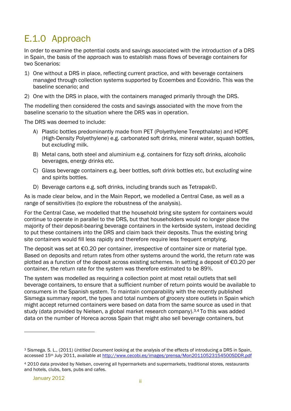# E.1.0 Approach

In order to examine the potential costs and savings associated with the introduction of a DRS in Spain, the basis of the approach was to establish mass flows of beverage containers for two Scenarios:

- 1) One without a DRS in place, reflecting current practice, and with beverage containers managed through collection systems supported by Ecoembes and Ecovidrio. This was the baseline scenario; and
- 2) One with the DRS in place, with the containers managed primarily through the DRS.

The modelling then considered the costs and savings associated with the move from the baseline scenario to the situation where the DRS was in operation.

The DRS was deemed to include:

- A) Plastic bottles predominantly made from PET (Polyethylene Terepthalate) and HDPE (High-Density Polyethylene) e.g. carbonated soft drinks, mineral water, squash bottles, but *excluding* milk.
- B) Metal cans, both steel and aluminium e.g. containers for fizzy soft drinks, alcoholic beverages, energy drinks etc.
- C) Glass beverage containers e.g. beer bottles, soft drink bottles etc, but *excluding* wine and spirits bottles.
- D) Beverage cartons e.g. soft drinks, including brands such as Tetrapak©.

As is made clear below, and in the Main Report, we modelled a Central Case, as well as a range of sensitivities (to explore the robustness of the analysis).

For the Central Case, we modelled that the household bring site system for containers would continue to operate in parallel to the DRS, but that householders would no longer place the majority of their deposit-bearing beverage containers in the kerbside system, instead deciding to put these containers into the DRS and claim back their deposits. Thus the existing bring site containers would fill less rapidly and therefore require less frequent emptying.

The deposit was set at  $\epsilon$ 0.20 per container, irrespective of container size or material type. Based on deposits and return rates from other systems around the world, the return rate was plotted as a function of the deposit across existing schemes. In setting a deposit of €0.20 per container, the return rate for the system was therefore estimated to be 89%.

The system was modelled as requiring a collection point at most retail outlets that sell beverage containers, to ensure that a sufficient number of return points would be available to consumers in the Spanish system. To maintain comparability with the recently published Sismega summary report, the types and total numbers of grocery store outlets in Spain which might accept returned containers were based on data from the same source as used in that study (data provided by Nielsen, a global market research company).<sup>3,4</sup> To this was added data on the number of Horeca across Spain that might also sell beverage containers, but

<sup>3</sup> Sismega. S. L., (2011) *Untitled Document* looking at the analysis of the effects of introducing a DRS in Spain, accessed 15<sup>th</sup> July 2011, available at http://www.cecobi.es/images/prensa/Mon20110523154500SDDR.pdf

<sup>4</sup> 2010 data provided by Nielsen, covering all hypermarkets and supermarkets, traditional stores, restaurants and hotels, clubs, bars, pubs and cafes.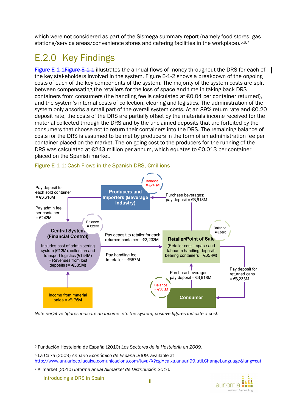which were not considered as part of the Sismega summary report (namely food stores, gas stations/service areas/convenience stores and catering facilities in the workplace).5,6,7

# E.2.0 Key Findings

Figure E-1-1 Figure E-1-1 illustrates the annual flows of money throughout the DRS for each of the key stakeholders involved in the system. Figure E-1-2 shows a breakdown of the ongoing costs of each of the key components of the system. The majority of the system costs are split between compensating the retailers for the loss of space and time in taking back DRS containers from consumers (the handling fee is calculated at €0.04 per container returned), and the system's internal costs of collection, clearing and logistics. The administration of the system only absorbs a small part of the overall system costs. At an 89% return rate and €0.20 deposit rate, the costs of the DRS are partially offset by the materials income received for the material collected through the DRS and by the unclaimed deposits that are forfeited by the consumers that choose not to return their containers into the DRS. The remaining balance of costs for the DRS is assumed to be met by producers in the form of an administration fee per container placed on the market. The on-going cost to the producers for the running of the DRS was calculated at  $\epsilon$ 243 million per annum, which equates to  $\epsilon$ 0.013 per container placed on the Spanish market.



### Figure E-1-1: Cash Flows in the Spanish DRS, €millions

*Note negative figures indicate an income into the system, positive figures indicate a cost.* 

Introducing a DRS in Spain

<sup>5</sup> Fundación Hosteler*í*a de España (2010) *Los Sectores de la Hostelería en 2009.*

<sup>6</sup> La Caixa (2009) *Anuario Económico de España 2009,* available at http://www.anuarieco.lacaixa.comunicacions.com/java/X?cgi=caixa.anuari99.util.ChangeLanguage&lang=cat

<sup>7</sup> Alimarket (2010) *Informe anual Alimarket de Distribución 2010.*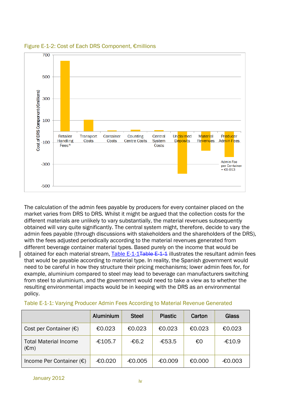

Figure E-1-2: Cost of Each DRS Component, €millions

The calculation of the admin fees payable by producers for every container placed on the market varies from DRS to DRS. Whilst it might be argued that the collection costs for the different materials are unlikely to vary substantially, the material revenues subsequently obtained will vary quite significantly. The central system might, therefore, decide to vary the admin fees payable (through discussions with stakeholders and the shareholders of the DRS), with the fees adjusted periodically according to the material revenues generated from different beverage container material types. Based purely on the income that would be obtained for each material stream, Table E-1-1<del>Table E 1 1</del> illustrates the resultant admin fees that would be payable according to material type. In reality, the Spanish government would need to be careful in how they structure their pricing mechanisms; lower admin fees for, for example, aluminium compared to steel may lead to beverage can manufacturers switching from steel to aluminium, and the government would need to take a view as to whether the resulting environmental impacts would be in keeping with the DRS as an environmental policy.

|                                                | Aluminium | <b>Steel</b> | <b>Plastic</b> | Carton | Glass     |
|------------------------------------------------|-----------|--------------|----------------|--------|-----------|
| Cost per Container $(\epsilon)$                | €0.023    | €0.023       | €0.023         | €0.023 | €0.023    |
| <b>Total Material Income</b><br>$(\epsilon m)$ | $-£105.7$ | $-66.2$      | $-653.5$       | €0     | $-£10.9$  |
| Income Per Container $(\epsilon)$              | $-60.020$ | $-60.005$    | -€0.009        | €0.000 | $-60.003$ |

|  |  |  |  | Table E-1-1: Varying Producer Admin Fees According to Material Revenue Generated |
|--|--|--|--|----------------------------------------------------------------------------------|
|  |  |  |  |                                                                                  |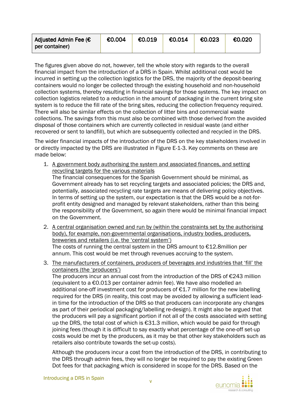| Adjusted Admin Fee $\left(\epsilon\right)$ | €0.004 | €0.019 | €0.014 | €0.023 | €0.020 |
|--------------------------------------------|--------|--------|--------|--------|--------|
| per container)                             |        |        |        |        |        |

The figures given above do not, however, tell the whole story with regards to the overall financial impact from the introduction of a DRS in Spain. Whilst additional cost would be incurred in setting up the collection logistics for the DRS, the majority of the deposit-bearing containers would no longer be collected through the existing household and non-household collection systems, thereby resulting in financial savings for those systems. The key impact on collection logistics related to a reduction in the amount of packaging in the current bring site system is to reduce the fill rate of the bring sites, reducing the collection frequency required. There will also be similar effects on the collection of litter bins and commercial waste collections. The savings from this must also be combined with those derived from the avoided disposal of those containers which are currently collected in residual waste (and either recovered or sent to landfill), but which are subsequently collected and recycled in the DRS.

The wider financial impacts of the introduction of the DRS on the key stakeholders involved in or directly impacted by the DRS are illustrated in Figure E-1-3. Key comments on these are made below:

- 1. A government body authorising the system and associated finances, and setting recycling targets for the various materials The financial consequences for the Spanish Government should be minimal, as Government already has to set recycling targets and associated policies; the DRS and, potentially, associated recycling rate targets are means of delivering policy objectives. In terms of setting up the system, our expectation is that the DRS would be a not-forprofit entity designed and managed by relevant stakeholders, rather than this being the responsibility of the Government, so again there would be minimal financial impact on the Government.
- 2. A central organisation owned and run by (within the constraints set by the authorising body), for example, non-governmental organisations, industry bodies, producers, breweries and retailers (i.e. the 'central system') The costs of running the central system in the DRS amount to €12.8million per annum. This cost would be met through revenues accruing to the system.
- 3. The manufacturers of containers, producers of beverages and industries that 'fill' the containers (the 'producers')

The producers incur an annual cost from the introduction of the DRS of €243 million (equivalent to a €0.013 per container admin fee). We have also modelled an additional one-off investment cost for producers of  $E1.7$  million for the new labelling required for the DRS (in reality, this cost may be avoided by allowing a sufficient leadin time for the introduction of the DRS so that producers can incorporate any changes as part of their periodical packaging/labelling re-design). It might also be argued that the producers will pay a significant portion if not all of the costs associated with setting up the DRS, the total cost of which is €31.3 million, which would be paid for through joining fees (though it is difficult to say exactly what percentage of the one-off set-up costs would be met by the producers, as it may be that other key stakeholders such as retailers also contribute towards the set-up costs).

Although the producers incur a cost from the introduction of the DRS, in contributing to the DRS through admin fees, they will no longer be required to pay the existing Green Dot fees for that packaging which is considered in scope for the DRS. Based on the

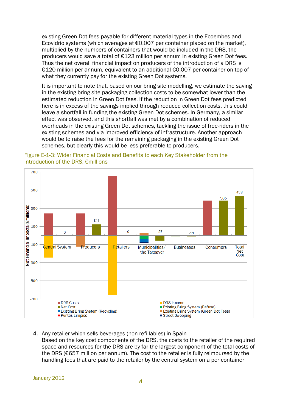existing Green Dot fees payable for different material types in the Ecoembes and Ecovidrio systems (which averages at €0.007 per container placed on the market), multiplied by the numbers of containers that would be included in the DRS, the producers would save a total of €123 million per annum in existing Green Dot fees. Thus the net overall financial impact on producers of the introduction of a DRS is €120 million per annum, equivalent to an additional €0.007 per container on top of what they currently pay for the existing Green Dot systems.

It is important to note that, based on our bring site modelling, we estimate the saving in the existing bring site packaging collection costs to be somewhat lower than the estimated reduction in Green Dot fees. If the reduction in Green Dot fees predicted here is in excess of the savings implied through reduced collection costs, this could leave a shortfall in funding the existing Green Dot schemes. In Germany, a similar effect was observed, and this shortfall was met by a combination of reduced overheads in the existing Green Dot schemes, tackling the issue of free-riders in the existing schemes and via improved efficiency of infrastructure. Another approach would be to raise the fees for the remaining packaging in the existing Green Dot schemes, but clearly this would be less preferable to producers.



Figure E-1-3: Wider Financial Costs and Benefits to each Key Stakeholder from the Introduction of the DRS, €millions

#### 4. Any retailer which sells beverages (non-refillables) in Spain Based on the key cost components of the DRS, the costs to the retailer of the required space and resources for the DRS are by far the largest component of the total costs of the DRS (€657 million per annum). The cost to the retailer is fully reimbursed by the handling fees that are paid to the retailer by the central system on a per container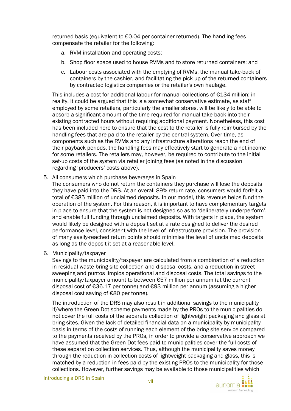returned basis (equivalent to €0.04 per container returned). The handling fees compensate the retailer for the following:

- a. RVM installation and operating costs;
- b. Shop floor space used to house RVMs and to store returned containers; and
- c. Labour costs associated with the emptying of RVMs, the manual take-back of containers by the cashier, and facilitating the pick-up of the returned containers by contracted logistics companies or the retailer's own haulage.

This includes a cost for additional labour for manual collections of €134 million; in reality, it could be argued that this is a somewhat conservative estimate, as staff employed by some retailers, particularly the smaller stores, will be likely to be able to absorb a significant amount of the time required for manual take back into their existing contracted hours without requiring additional payment. Nonetheless, this cost has been included here to ensure that the cost to the retailer is fully reimbursed by the handling fees that are paid to the retailer by the central system. Over time, as components such as the RVMs and any infrastructure alterations reach the end of their payback periods, the handling fees may effectively start to generate a net income for some retailers. The retailers may, however, be required to contribute to the initial set-up costs of the system via retailer joining fees (as noted in the discussion regarding 'producers' costs above).

5. All consumers which purchase beverages in Spain

The consumers who do not return the containers they purchase will lose the deposits they have paid into the DRS. At an overall 89% return rate, consumers would forfeit a total of €385 million of unclaimed deposits. In our model, this revenue helps fund the operation of the system. For this reason, it is important to have complementary targets in place to ensure that the system is not designed so as to 'deliberately underperform', and enable full funding through unclaimed deposits. With targets in place, the system would likely be designed with a deposit set at a rate designed to deliver the desired performance level, consistent with the level of infrastructure provision. The provision of many easily-reached return points should minimise the level of unclaimed deposits as long as the deposit it set at a reasonable level.

6. Municipality/taxpayer

Savings to the municipality/taxpayer are calculated from a combination of a reduction in residual waste bring site collection and disposal costs, and a reduction in street sweeping and puntos limpios operational and disposal costs. The total savings to the municipality/taxpayer amount to between €57 million per annum (at the current disposal cost of €36.17 per tonne) and €93 million per annum (assuming a higher disposal cost saving of €80 per tonne).

The introduction of the DRS may also result in additional savings to the municipality if/where the Green Dot scheme payments made by the PROs to the municipalities do not cover the full costs of the separate collection of lightweight packaging and glass at bring sites. Given the lack of detailed financial data on a municipality by municipality basis in terms of the costs of running each element of the bring site service compared to the payments received by the PROs, in order to provide a conservative approach we have assumed that the Green Dot fees paid to municipalities cover the full costs of these separation collection services. Thus, although the municipality saves money through the reduction in collection costs of lightweight packaging and glass, this is matched by a reduction in fees paid by the existing PROs to the municipality for those collections. However, further savings may be available to those municipalities which



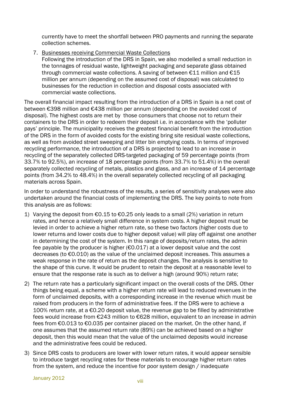currently have to meet the shortfall between PRO payments and running the separate collection schemes.

7. Businesses receiving Commercial Waste Collections Following the introduction of the DRS in Spain, we also modelled a small reduction in the tonnages of residual waste, lightweight packaging and separate glass obtained through commercial waste collections. A saving of between  $£11$  million and  $£15$ million per annum (depending on the assumed cost of disposal) was calculated to businesses for the reduction in collection and disposal costs associated with commercial waste collections.

The overall financial impact resulting from the introduction of a DRS in Spain is a net cost of between €398 million and €438 million per annum (depending on the avoided cost of disposal). The highest costs are met by those consumers that choose not to return their containers to the DRS in order to redeem their deposit i.e. in accordance with the 'polluter pays' principle. The municipality receives the greatest financial benefit from the introduction of the DRS in the form of avoided costs for the existing bring site residual waste collections, as well as from avoided street sweeping and litter bin emptying costs. In terms of improved recycling performance, the introduction of a DRS is projected to lead to an increase in recycling of the separately collected DRS-targeted packaging of 59 percentage points (from 33.7% to 92.5%), an increase of 18 percentage points (from 33.7% to 51.4%) in the overall separately collected recycling of metals, plastics and glass, and an increase of 14 percentage points (from 34.2% to 48.4%) in the overall separately collected recycling of all packaging materials across Spain.

In order to understand the robustness of the results, a series of sensitivity analyses were also undertaken around the financial costs of implementing the DRS. The key points to note from this analysis are as follows:

- 1) Varying the deposit from €0.15 to €0.25 only leads to a small (2%) variation in return rates, and hence a relatively small difference in system costs. A higher deposit must be levied in order to achieve a higher return rate, so these two factors (higher costs due to lower returns and lower costs due to higher deposit value) will play off against one another in determining the cost of the system. In this range of deposits/return rates, the admin fee payable by the producer is higher ( $\epsilon$ 0.017) at a lower deposit value and the cost decreases (to €0.010) as the value of the unclaimed deposit increases. This assumes a weak response in the rate of return as the deposit changes. The analysis is sensitive to the shape of this curve. It would be prudent to retain the deposit at a reasonable level to ensure that the response rate is such as to deliver a high (around 90%) return rate;
- 2) The return rate has a particularly significant impact on the overall costs of the DRS. Other things being equal, a scheme with a higher return rate will lead to reduced revenues in the form of unclaimed deposits, with a corresponding increase in the revenue which must be raised from producers in the form of administrative fees. If the DRS were to achieve a 100% return rate, at a €0.20 deposit value, the revenue gap to be filled by administrative fees would increase from €243 million to €628 million, equivalent to an increase in admin fees from €0.013 to €0.035 per container placed on the market. On the other hand, if one assumes that the assumed return rate (89%) can be achieved based on a higher deposit, then this would mean that the value of the unclaimed deposits would increase and the administrative fees could be reduced.
- 3) Since DRS costs to producers are lower with lower return rates, it would appear sensible to introduce target recycling rates for these materials to encourage higher return rates from the system, and reduce the incentive for poor system design / inadequate

January 2012 viii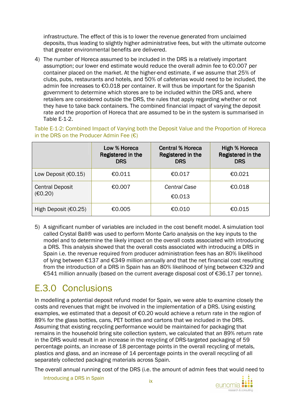infrastructure. The effect of this is to lower the revenue generated from unclaimed deposits, thus leading to slightly higher administrative fees, but with the ultimate outcome that greater environmental benefits are delivered.

4) The number of Horeca assumed to be included in the DRS is a relatively important assumption; our lower end estimate would reduce the overall admin fee to €0.007 per container placed on the market. At the higher-end estimate, if we assume that 25% of clubs, pubs, restaurants and hotels, and 50% of cafeterias would need to be included, the admin fee increases to €0.018 per container. It will thus be important for the Spanish government to determine which stores are to be included within the DRS and, where retailers are considered outside the DRS, the rules that apply regarding whether or not they have to take back containers. The combined financial impact of varying the deposit rate and the proportion of Horeca that are assumed to be in the system is summarised in Table E-1-2.

Table E-1-2: Combined Impact of Varying both the Deposit Value and the Proportion of Horeca in the DRS on the Producer Admin Fee  $(\epsilon)$ 

|                                   | Low % Horeca<br>Registered in the<br><b>DRS</b> | <b>Central % Horeca</b><br>Registered in the<br><b>DRS</b> | <b>High % Horeca</b><br>Registered in the<br><b>DRS</b> |
|-----------------------------------|-------------------------------------------------|------------------------------------------------------------|---------------------------------------------------------|
| Low Deposit $€0.15)$              | €0.011                                          | €0.017                                                     | €0.021                                                  |
| <b>Central Deposit</b><br>(E0.20) | €0.007                                          | <b>Central Case</b><br>€0.013                              | €0.018                                                  |
| High Deposit (€0.25)              | €0.005                                          | €0.010                                                     | €0.015                                                  |

5) A significant number of variables are included in the cost benefit model. A simulation tool called Crystal Ball® was used to perform Monte Carlo analysis on the key inputs to the model and to determine the likely impact on the overall costs associated with introducing a DRS. This analysis showed that the overall costs associated with introducing a DRS in Spain i.e. the revenue required from producer administration fees has an 80% likelihood of lying between €137 and €349 million annually and that the net financial cost resulting from the introduction of a DRS in Spain has an 80% likelihood of lying between €329 and €541 million annually (based on the current average disposal cost of €36.17 per tonne).

# E.3.0 Conclusions

In modelling a potential deposit refund model for Spain, we were able to examine closely the costs and revenues that might be involved in the implementation of a DRS. Using existing examples, we estimated that a deposit of €0.20 would achieve a return rate in the region of 89% for the glass bottles, cans, PET bottles and cartons that we included in the DRS. Assuming that existing recycling performance would be maintained for packaging that remains in the household bring site collection system, we calculated that an 89% return rate in the DRS would result in an increase in the recycling of DRS-targeted packaging of 59 percentage points, an increase of 18 percentage points in the overall recycling of metals, plastics and glass, and an increase of 14 percentage points in the overall recycling of all separately collected packaging materials across Spain.

The overall annual running cost of the DRS (i.e. the amount of admin fees that would need to

Introducing a DRS in Spain

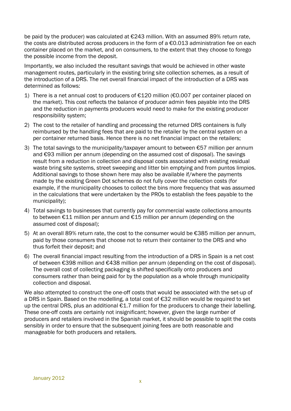be paid by the producer) was calculated at €243 million. With an assumed 89% return rate, the costs are distributed across producers in the form of a  $\epsilon$ 0.013 administration fee on each container placed on the market, and on consumers, to the extent that they choose to forego the possible income from the deposit.

Importantly, we also included the resultant savings that would be achieved in other waste management routes, particularly in the existing bring site collection schemes, as a result of the introduction of a DRS. The net overall financial impact of the introduction of a DRS was determined as follows:

- 1) There is a net annual cost to producers of €120 million (€0.007 per container placed on the market). This cost reflects the balance of producer admin fees payable into the DRS and the reduction in payments producers would need to make for the existing producer responsibility system;
- 2) The cost to the retailer of handling and processing the returned DRS containers is fully reimbursed by the handling fees that are paid to the retailer by the central system on a per container returned basis. Hence there is no net financial impact on the retailers;
- 3) The total savings to the municipality/taxpayer amount to between  $\epsilon$ 57 million per annum and €93 million per annum (depending on the assumed cost of disposal). The savings result from a reduction in collection and disposal costs associated with existing residual waste bring site systems, street sweeping and litter bin emptying and from puntos limpios. Additional savings to those shown here may also be available if/where the payments made by the existing Green Dot schemes do not fully cover the collection costs (for example, if the municipality chooses to collect the bins more frequency that was assumed in the calculations that were undertaken by the PROs to establish the fees payable to the municipality);
- 4) Total savings to businesses that currently pay for commercial waste collections amounts to between €11 million per annum and €15 million per annum (depending on the assumed cost of disposal);
- 5) At an overall 89% return rate, the cost to the consumer would be  $\epsilon$ 385 million per annum, paid by those consumers that choose not to return their container to the DRS and who thus forfeit their deposit; and
- 6) The overall financial impact resulting from the introduction of a DRS in Spain is a net cost of between €398 million and €438 million per annum (depending on the cost of disposal). The overall cost of collecting packaging is shifted specifically onto producers and consumers rather than being paid for by the population as a whole through municipality collection and disposal.

We also attempted to construct the one-off costs that would be associated with the set-up of a DRS in Spain. Based on the modelling, a total cost of €32 million would be required to set up the central DRS, plus an additional €1.7 million for the producers to change their labelling. These one-off costs are certainly not insignificant; however, given the large number of producers and retailers involved in the Spanish market, it should be possible to split the costs sensibly in order to ensure that the subsequent joining fees are both reasonable and manageable for both producers and retailers.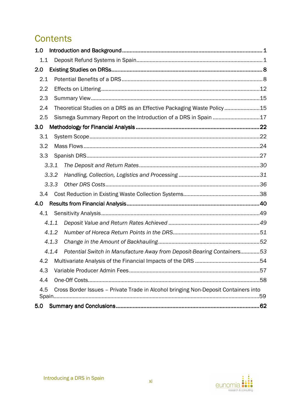# **Contents**

| 1.0 |       |                                                                                     |  |
|-----|-------|-------------------------------------------------------------------------------------|--|
| 1.1 |       |                                                                                     |  |
| 2.0 |       |                                                                                     |  |
| 2.1 |       |                                                                                     |  |
| 2.2 |       |                                                                                     |  |
| 2.3 |       |                                                                                     |  |
| 2.4 |       | Theoretical Studies on a DRS as an Effective Packaging Waste Policy15               |  |
| 2.5 |       | Sismega Summary Report on the Introduction of a DRS in Spain 17                     |  |
| 3.0 |       |                                                                                     |  |
| 3.1 |       |                                                                                     |  |
| 3.2 |       |                                                                                     |  |
| 3.3 |       |                                                                                     |  |
|     | 3.3.1 |                                                                                     |  |
|     | 3.3.2 |                                                                                     |  |
|     | 3.3.3 |                                                                                     |  |
| 3.4 |       |                                                                                     |  |
| 4.0 |       |                                                                                     |  |
| 4.1 |       |                                                                                     |  |
|     | 4.1.1 |                                                                                     |  |
|     | 4.1.2 |                                                                                     |  |
|     | 4.1.3 |                                                                                     |  |
|     | 4.1.4 | Potential Switch in Manufacture Away from Deposit-Bearing Containers53              |  |
| 4.2 |       |                                                                                     |  |
| 4.3 |       |                                                                                     |  |
| 4.4 |       |                                                                                     |  |
| 4.5 |       | Cross Border Issues - Private Trade in Alcohol bringing Non-Deposit Containers into |  |
| 5.0 |       |                                                                                     |  |

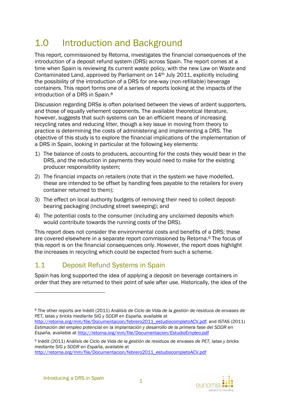# 1.0 Introduction and Background

This report, commissioned by Retorna, investigates the financial consequences of the introduction of a deposit refund system (DRS) across Spain. The report comes at a time when Spain is reviewing its current waste policy, with the new Law on Waste and Contaminated Land, approved by Parliament on 14th July 2011, explicitly including the possibility of the introduction of a DRS for one-way (non-refillable) beverage containers. This report forms one of a series of reports looking at the impacts of the introduction of a DRS in Spain.<sup>8</sup>

Discussion regarding DRSs is often polarised between the views of ardent supporters, and those of equally vehement opponents. The available theoretical literature, however, suggests that such systems can be an efficient means of increasing recycling rates and reducing litter, though a key issue in moving from theory to practice is determining the costs of administering and implementing a DRS. The objective of this study is to explore the financial implications of the implementation of a DRS in Spain, looking in particular at the following key elements:

- 1) The balance of costs to producers, accounting for the costs they would bear in the DRS, and the reduction in payments they would need to make for the existing producer responsibility system;
- 2) The financial impacts on retailers (note that in the system we have modelled, these are intended to be offset by handling fees payable to the retailers for every container returned to them);
- 3) The effect on local authority budgets of removing their need to collect depositbearing packaging (including street sweeping); and
- 4) The potential costs to the consumer (including any unclaimed deposits which would contribute towards the running costs of the DRS).

This report does not consider the environmental costs and benefits of a DRS; these are covered elsewhere in a separate report commissioned by Retorna.9 The focus of this report is on the financial consequences only. However, the report does highlight the increases in recycling which could be expected from such a scheme.

## 1.1 Deposit Refund Systems in Spain

Spain has long supported the idea of applying a deposit on beverage containers in order that they are returned to their point of sale after use. Historically, the idea of the

http://retorna.org/mm/file/Documentacion/febrero2011\_estudiocompletoACV.pdf



<sup>8</sup> The other reports are Inèdit (2011) *Análisis de Ciclo de Vida de la gestión de residuos de envases de PET, latas y bricks mediante SIG y SDDR en España*, available at

http://retorna.org/mm/file/Documentacion/febrero2011\_estudiocompletoACV.pdf; and ISTAS (2011) *Estimación del empleo potencial en la implantación y desarrollo de la primera fase del SDDR en España*, available at http://retorna.org/mm/file/Documentacion/EstudioEmpleo.pdf

<sup>9</sup> Inèdit (2011) *Análisis de Ciclo de Vida de la gestión de residuos de envases de PET, latas y bricks mediante SIG y SDDR en España*, available at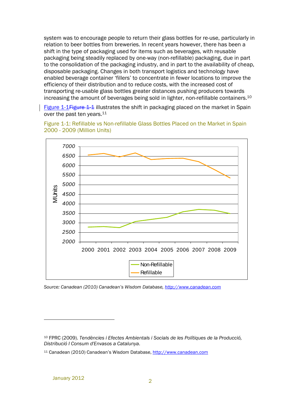system was to encourage people to return their glass bottles for re-use, particularly in relation to beer bottles from breweries. In recent years however, there has been a shift in the type of packaging used for items such as beverages, with reusable packaging being steadily replaced by one-way (non-refillable) packaging, due in part to the consolidation of the packaging industry, and in part to the availability of cheap, disposable packaging. Changes in both transport logistics and technology have enabled beverage container 'fillers' to concentrate in fewer locations to improve the efficiency of their distribution and to reduce costs, with the increased cost of transporting re-usable glass bottles greater distances pushing producers towards increasing the amount of beverages being sold in lighter, non-refillable containers.<sup>10</sup>

Figure 1-1 Figure 1-1 illustrates the shift in packaging placed on the market in Spain over the past ten years.<sup>11</sup>



Figure 1-1: Refillable vs Non-refillable Glass Bottles Placed on the Market in Spain 2000 - 2009 (Million Units)

*Source: Canadean (2010) Canadean's Wisdom Database, http://www.canadean.com*

<sup>10</sup> FPRC (2009). *Tendències i Efectes Ambientals i Socials de les Polítiques de la Producció, Distribució I Consum d'Envasos a Catalunya*.

<sup>11</sup> Canadean (2010) Canadean's Wisdom Database, http://www.canadean.com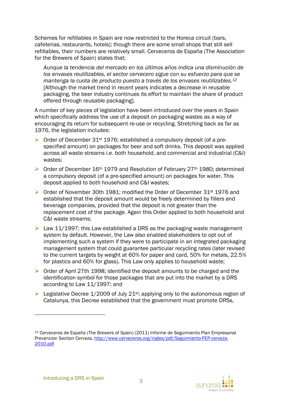Schemes for refillables in Spain are now restricted to the Horeca circuit (bars, cafeterias, restaurants, hotels); though there are some small shops that still sell refillables, their numbers are relatively small. Cerveceros de España (The Association for the Brewers of Spain) states that;

*Aunque la tendencia del mercado en los últimos años indica una disminución de los envases reutilizables, el sector cervecero sigue con su esfuerzo para que se mantenga la cuota de producto puesto a través de los envases reutilizables.<sup>12</sup>* [Although the market trend in recent years indicates a decrease in reusable packaging, the beer industry continues its effort to maintain the share of product offered through reusable packaging].

A number of key pieces of legislation have been introduced over the years in Spain which specifically address the use of a deposit on packaging wastes as a way of encouraging its return for subsequent re-use or recycling. Stretching back as far as 1976, the legislation includes:

- $\triangleright$  Order of December 31<sup>st</sup> 1976; established a compulsory deposit (of a prespecified amount) on packages for beer and soft drinks. This deposit was applied across all waste streams i.e. both household, and commercial and industrial (C&I) wastes;
- ▶ Order of December 16<sup>th</sup> 1979 and Resolution of February 27<sup>th</sup> 1980; determined a compulsory deposit (of a pre-specified amount) on packages for water. This deposit applied to both household and C&I wastes;
- $\triangleright$  Order of November 30th 1981; modified the Order of December 31st 1976 and established that the deposit amount would be freely determined by fillers and beverage companies, provided that the deposit is not greater than the replacement cost of the package. Again this Order applied to both household and C&I waste streams;
- $\triangleright$  Law 11/1997; this Law established a DRS as the packaging waste management system by default. However, the Law also enabled stakeholders to opt out of implementing such a system if they were to participate in an integrated packaging management system that could guarantee particular recycling rates (later revised to the current targets by weight at 60% for paper and card, 50% for metals, 22.5% for plastics and 60% for glass). This Law only applies to household waste;
- $\triangleright$  Order of April 27th 1998; identified the deposit amounts to be charged and the identification symbol for those packages that are put into the market by a DRS according to Law 11/1997; and
- Elegislative Decree 1/2009 of July 21<sup>st</sup>; applying only to the autonomous region of Catalunya, this Decree established that the government must promote DRSs,



<sup>12</sup> Cerveceros de España (The Brewers of Spain) (2011) Informe de Seguimiento Plan Empresarial Prevencion Section Cerveza, http://www.cerveceros.org/ingles/pdf/Seguimiento-PEP-cerveza-2010.pdf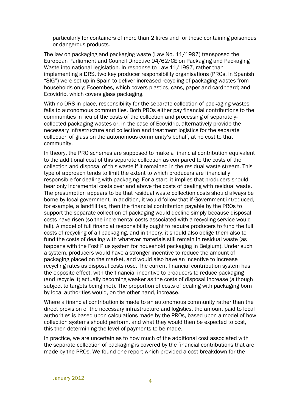particularly for containers of more than 2 litres and for those containing poisonous or dangerous products.

The law on packaging and packaging waste (Law No. 11/1997) transposed the European Parliament and Council Directive 94/62/CE on Packaging and Packaging Waste into national legislation. In response to Law 11/1997, rather than implementing a DRS, two key producer responsibility organisations (PROs, in Spanish "SIG") were set up in Spain to deliver increased recycling of packaging wastes from households only; Ecoembes, which covers plastics, cans, paper and cardboard; and Ecovidrio, which covers glass packaging.

With no DRS in place, responsibility for the separate collection of packaging wastes falls to autonomous communities. Both PROs either pay financial contributions to the communities in lieu of the costs of the collection and processing of separatelycollected packaging wastes or, in the case of Ecovidrio, alternatively provide the necessary infrastructure and collection and treatment logistics for the separate collection of glass on the autonomous community's behalf, at no cost to that community.

In theory, the PRO schemes are supposed to make a financial contribution equivalent to the additional cost of this separate collection as compared to the costs of the collection and disposal of this waste if it remained in the residual waste stream. This type of approach tends to limit the extent to which producers are financially responsible for dealing with packaging. For a start, it implies that producers should bear only incremental costs over and above the costs of dealing with residual waste. The presumption appears to be that residual waste collection costs should always be borne by local government. In addition, it would follow that if Government introduced, for example, a landfill tax, then the financial contribution payable by the PROs to support the separate collection of packaging would decline simply because disposal costs have risen (so the incremental costs associated with a recycling service would fall). A model of full financial responsibility ought to require producers to fund the full costs of recycling of all packaging, and in theory, it should also oblige them also to fund the costs of dealing with whatever materials still remain in residual waste (as happens with the Fost Plus system for household packaging in Belgium). Under such a system, producers would have a stronger incentive to reduce the amount of packaging placed on the market, and would also have an incentive to increase recycling rates as disposal costs rose. The current financial contribution system has the opposite effect, with the financial incentive to producers to reduce packaging (and recycle it) actually becoming weaker as the costs of disposal increase (although subject to targets being met). The proportion of costs of dealing with packaging born by local authorities would, on the other hand, increase.

Where a financial contribution is made to an autonomous community rather than the direct provision of the necessary infrastructure and logistics, the amount paid to local authorities is based upon calculations made by the PROs, based upon a model of how collection systems should perform, and what they would then be expected to cost, this then determining the level of payments to be made.

In practice, we are uncertain as to how much of the additional cost associated with the separate collection of packaging is covered by the financial contributions that are made by the PROs. We found one report which provided a cost breakdown for the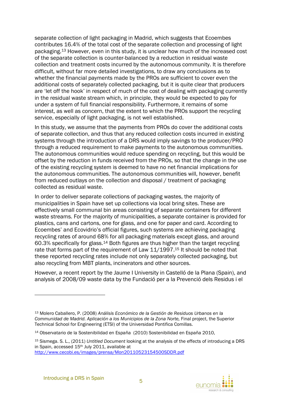separate collection of light packaging in Madrid, which suggests that Ecoembes contributes 16.4% of the total cost of the separate collection and processing of light packaging.13 However, even in this study, it is unclear how much of the increased cost of the separate collection is counter-balanced by a reduction in residual waste collection and treatment costs incurred by the autonomous community. It is therefore difficult, without far more detailed investigations, to draw any conclusions as to whether the financial payments made by the PROs are sufficient to cover even the additional costs of separately collected packaging, but it is quite clear that producers are 'let off the hook' in respect of much of the cost of dealing with packaging currently in the residual waste stream which, in principle, they would be expected to pay for under a system of full financial responsibility. Furthermore, it remains of some interest, as well as concern, that the extent to which the PROs support the recycling service, especially of light packaging, is not well established.

In this study, we assume that the payments from PROs do cover the additional costs of separate collection, and thus that any reduced collection costs incurred in existing systems through the introduction of a DRS would imply savings to the producer/PRO through a reduced requirement to make payments to the autonomous communities. The autonomous communities would reduce spending on recycling, but this would be offset by the reduction in funds received from the PROs, so that the change in the use of the existing recycling system is deemed to have no net financial implications for the autonomous communities. The autonomous communities will, however, benefit from reduced outlays on the collection and disposal / treatment of packaging collected as residual waste.

In order to deliver separate collections of packaging wastes, the majority of municipalities in Spain have set up collections via local bring sites. These are effectively small communal bin areas consisting of separate containers for different waste streams. For the majority of municipalities, a separate container is provided for plastics, cans and cartons, one for glass, and one for paper and card. According to Ecoembes' and Ecovidrio's official figures, such systems are achieving packaging recycling rates of around 68% for all packaging materials except glass, and around 60.3% specifically for glass.14 Both figures are thus higher than the target recycling rate that forms part of the requirement of Law 11/1997.<sup>15</sup> It should be noted that these reported recycling rates include not only separately collected packaging, but also recycling from MBT plants, incinerators and other sources.

However, a recent report by the Jaume I University in Castelló de la Plana (Spain), and analysis of 2008/09 waste data by the Fundació per a la Prevenció dels Residus i el

http://www.cecobi.es/images/prensa/Mon20110523154500SDDR.pdf



<sup>13</sup> Molero Caballero, P. (2008) *Análisis Económico de la Gestión de Residuos Urbanos en la Communidad de Madrid. Aplicación a los Municipios de la Zona Norte,* Final project, the Superior Technical School for Engineering (ETSI) of the Universidad Pontifica Comillas.

<sup>14</sup> Observatario de la Sostenibilidad en España (2010) Sostenibilidad en España 2010,

<sup>15</sup> Sismega. S. L., (2011) *Untitled Document* looking at the analysis of the effects of introducing a DRS in Spain, accessed 15<sup>th</sup> July 2011, available at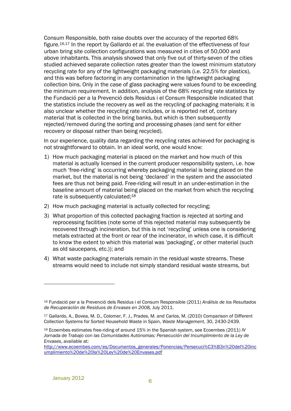Consum Responsible, both raise doubts over the accuracy of the reported 68% figure.16,17 In the report by Gallardo *et al.* the evaluation of the effectiveness of four urban bring site collection configurations was measured in cities of 50,000 and above inhabitants. This analysis showed that only five out of thirty-seven of the cities studied achieved separate collection rates greater than the lowest minimum statutory recycling rate for any of the lightweight packaging materials (i.e. 22.5% for plastics), and this was before factoring in any contamination in the lightweight packaging collection bins. Only in the case of glass packaging were values found to be exceeding the minimum requirement. In addition, analysis of the 68% recycling rate statistics by the Fundació per a la Prevenció dels Residus i el Consum Responsible indicated that the statistics include the recovery as well as the recycling of packaging materials; it is also unclear whether the recycling rate includes, or is reported net of, contrary material that is collected in the bring banks, but which is then subsequently rejected/removed during the sorting and processing phases (and sent for either recovery or disposal rather than being recycled).

In our experience, quality data regarding the recycling rates achieved for packaging is not straightforward to obtain. In an ideal world, one would know:

- 1) How much packaging material is placed on the market and how much of this material is actually licensed in the current producer responsibility system, i.e. how much 'free-riding' is occurring whereby packaging material is being placed on the market, but the material is not being 'declared' in the system and the associated fees are thus not being paid. Free-riding will result in an under-estimation in the baseline amount of material being placed on the market from which the recycling rate is subsequently calculated;<sup>18</sup>
- 2) How much packaging material is actually collected for recycling;
- 3) What proportion of this collected packaging fraction is rejected at sorting and reprocessing facilities (note some of this rejected material may subsequently be recovered through incineration, but this is not 'recycling' unless one is considering metals extracted at the front or rear of the incinerator, in which case, it is difficult to know the extent to which this material was 'packaging', or other material (such as old saucepans, etc.)); and
- 4) What waste packaging materials remain in the residual waste streams. These streams would need to include not simply standard residual waste streams, but

<sup>16</sup> Fundació per a la Prevenció dels Residus i el Consum Responsible (2011) *Análisis de los Resultados de Recuperación de Residuos de Envases en 2008,* July 2011.

<sup>17</sup> Gallardo, A., Bovea, M. D., Colomer, F. J., Prades, M. and Carlos, M. (2010) Comparison of Different Collection Systems for Sorted Household Waste in Spain, *Waste Management*, 30, 2430-2439.

<sup>18</sup> Ecoembes estimates free-riding of around 15% in the Spanish system, see Ecoembes (2011) *IV Jornada de Trabajo con las Comunidades Autónomas: Persecución del Incumplimiento de la Ley de Envases*, available at:

http://www.ecoembes.com/es/Documentos\_generales/Ponencias/Persecuci%C3%B3n%20del%20inc umplimiento%20de%20la%20Ley%20de%20Envases.pdf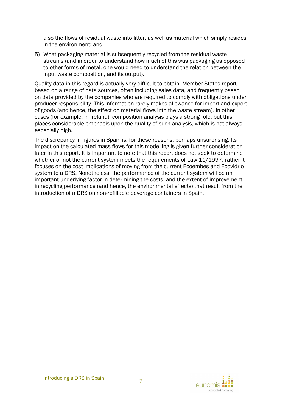also the flows of residual waste into litter, as well as material which simply resides in the environment; and

5) What packaging material is subsequently recycled from the residual waste streams (and in order to understand how much of this was packaging as opposed to other forms of metal, one would need to understand the relation between the input waste composition, and its output).

Quality data in this regard is actually very difficult to obtain. Member States report based on a range of data sources, often including sales data, and frequently based on data provided by the companies who are required to comply with obligations under producer responsibility. This information rarely makes allowance for import and export of goods (and hence, the effect on material flows into the waste stream). In other cases (for example, in Ireland), composition analysis plays a strong role, but this places considerable emphasis upon the quality of such analysis, which is not always especially high.

The discrepancy in figures in Spain is, for these reasons, perhaps unsurprising. Its impact on the calculated mass flows for this modelling is given further consideration later in this report. It is important to note that this report does not seek to determine whether or not the current system meets the requirements of Law 11/1997; rather it focuses on the cost implications of moving from the current Ecoembes and Ecovidrio system to a DRS. Nonetheless, the performance of the current system will be an important underlying factor in determining the costs, and the extent of improvement in recycling performance (and hence, the environmental effects) that result from the introduction of a DRS on non-refillable beverage containers in Spain.

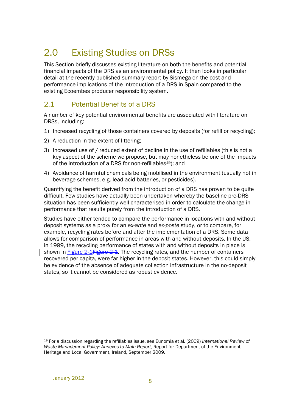# 2.0 Existing Studies on DRSs

This Section briefly discusses existing literature on both the benefits and potential financial impacts of the DRS as an environmental policy. It then looks in particular detail at the recently published summary report by Sismega on the cost and performance implications of the introduction of a DRS in Spain compared to the existing Ecoembes producer responsibility system.

### 2.1 Potential Benefits of a DRS

A number of key potential environmental benefits are associated with literature on DRSs, including:

- 1) Increased recycling of those containers covered by deposits (for refill or recycling);
- 2) A reduction in the extent of littering;
- 3) Increased use of / reduced extent of decline in the use of refillables (this is not a key aspect of the scheme we propose, but may nonetheless be one of the impacts of the introduction of a DRS for non-refillables<sup>19</sup>); and
- 4) Avoidance of harmful chemicals being mobilised in the environment (usually not in beverage schemes, e.g. lead acid batteries, or pesticides).

Quantifying the benefit derived from the introduction of a DRS has proven to be quite difficult. Few studies have actually been undertaken whereby the baseline pre-DRS situation has been sufficiently well characterised in order to calculate the change in performance that results purely from the introduction of a DRS.

Studies have either tended to compare the performance in locations with and without deposit systems as a proxy for an *ex-ante* and *ex-poste* study, or to compare, for example, recycling rates before and after the implementation of a DRS. Some data allows for comparison of performance in areas with and without deposits. In the US, in 1999, the recycling performance of states with and without deposits in place is shown in **Figure 2-1 Figure 2-1**. The recycling rates, and the number of containers recovered per capita, were far higher in the deposit states. However, this could simply be evidence of the absence of adequate collection infrastructure in the no-deposit states, so it cannot be considered as robust evidence.

<sup>19</sup> For a discussion regarding the refillables issue, see Eunomia et al. (2009) *International Review of Waste Management Policy: Annexes to Main Report, Report for Department of the Environment,* Heritage and Local Government, Ireland, September 2009.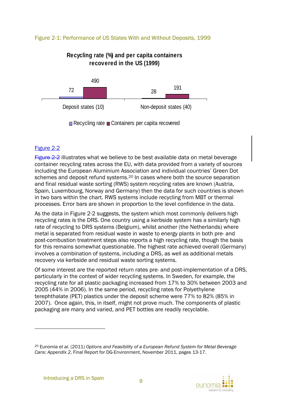#### Figure 2-1: Performance of US States With and Without Deposits, 1999

### **Recycling rate (%) and per capita containers recovered in the US (1999)**



Recycling rate Containers per capita recovered

#### Figure 2-2

Figure 2-2 illustrates what we believe to be best available data on metal beverage container recycling rates across the EU, with data provided from a variety of sources including the European Aluminium Association and individual countries' Green Dot schemes and deposit refund systems.20 In cases where both the source separation and final residual waste sorting (RWS) system recycling rates are known (Austria, Spain, Luxembourg, Norway and Germany) then the data for such countries is shown in two bars within the chart. RWS systems include recycling from MBT or thermal processes. Error bars are shown in proportion to the level confidence in the data.

As the data in Figure 2-2 suggests, the system which most commonly delivers high recycling rates is the DRS. One country using a kerbside system has a similarly high rate of recycling to DRS systems (Belgium), whilst another (the Netherlands) where metal is separated from residual waste in waste to energy plants in both pre- and post-combustion treatment steps also reports a high recycling rate, though the basis for this remains somewhat questionable. The highest rate achieved overall (Germany) involves a combination of systems, including a DRS, as well as additional metals recovery via kerbside and residual waste sorting systems.

Of some interest are the reported return rates pre- and post-implementation of a DRS, particularly in the context of wider recycling systems. In Sweden, for example, the recycling rate for all plastic packaging increased from 17% to 30% between 2003 and 2005 (44% in 2006). In the same period, recycling rates for Polyethylene terephthalate (PET) plastics under the deposit scheme were 77% to 82% (85% in 2007). Once again, this, in itself, might not prove much. The components of plastic packaging are many and varied, and PET bottles are readily recyclable.



*<sup>20</sup>* Eunomia *et al.* (2011) *Options and Feasibility of a European Refund System for Metal Beverage Cans: Appendix 2*, Final Report for DG-Environment, November 2011, pages 13-17.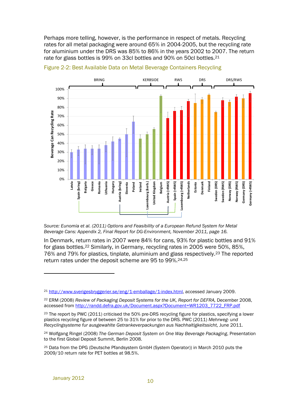Perhaps more telling, however, is the performance in respect of metals. Recycling rates for all metal packaging were around 65% in 2004-2005, but the recycling rate for aluminium under the DRS was 85% to 86% in the years 2002 to 2007. The return rate for glass bottles is 99% on 33cl bottles and 90% on 50cl bottles.<sup>21</sup>



Figure 2-2: Best Available Data on Metal Beverage Containers Recycling

*Source: Eunomia et al. (2011) Options and Feasibility of a European Refund System for Metal Beverage Cans: Appendix 2, Final Report for DG-Environment, November 2011, page 16.* 

In Denmark, return rates in 2007 were 84% for cans, 93% for plastic bottles and 91% for glass bottles.22 Similarly, in Germany, recycling rates in 2005 were 50%, 85%, 76% and 79% for plastics, tinplate, aluminium and glass respectively.23 The reported return rates under the deposit scheme are 95 to 99%. 24,25

<sup>21</sup> http://www.sverigesbryggerier.se/eng/1-emballage/1-index.html, accessed January 2009.

<sup>22</sup> ERM (2008) *Review of Packaging Deposit Systems for the UK, Report for DEFRA,* December 2008, accessed from http://randd.defra.gov.uk/Document.aspx?Document=WR1203\_7722\_FRP.pdf

<sup>&</sup>lt;sup>23</sup> The report by PWC (2011) criticised the 50% pre-DRS recycling figure for plastics, specifying a lower plastics recycling figure of between 25 to 31% for prior to the DRS. PWC (2011) *Mehrweg- und Recyclingsysteme fur ausgewahlte Getrankeverpackungen aus Nachhaltigkeitssicht,* June 2011.

<sup>24</sup> Wolfgang Ringel (2008) *The German Deposit System on One Way Beverage Packaging*, Presentation to the first Global Deposit Summit, Berlin 2008.

<sup>25</sup> Data from the DPG (Deutsche Pfandsystem GmbH (System Operator)) in March 2010 puts the 2009/10 return rate for PET bottles at 98.5%.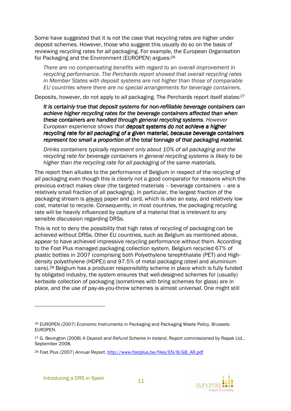Some have suggested that it is not the case that recycling rates are higher under deposit schemes. However, those who suggest this usually do so on the basis of reviewing recycling rates for *all* packaging. For example, the European Organisation for Packaging and the Environment (EUROPEN) argues:<sup>26</sup>

*There are no compensating benefits with regard to an overall improvement in recycling performance. The Perchards report showed that overall recycling rates in Member States with deposit systems are not higher than those of comparable EU countries where there are no special arrangements for beverage containers.* 

Deposits, however, do not apply to *all* packaging. The Perchards report itself states:<sup>27</sup>

*It is certainly true that deposit systems for non- certainly true that deposit for non-refillable bevera refillable beverage containers can ge achieve higher recycling rates for the beverage containers affected than when tainers affected than when*  these containers are handled through general recycling systems. However *European experience shows that deposit systems do not achieve a higher recycling rate for all packaging of a given material, because beverage containers represent too small a proportion of the total tonnage of that packaging material.* 

*Drinks containers typically represent only about 10% of all packaging and the recycling rate for beverage containers in general recycling systems is likely to be higher than the recycling rate for all packaging of the same materials.* 

The report then alludes to the performance of Belgium in respect of the recycling of *all* packaging even though this is clearly not a good comparator for reasons which the previous extract makes clear (the targeted materials – beverage containers – are a relatively small fraction of all packaging). In particular, the largest fraction of the packaging stream is *always* paper and card, which is also an easy, and relatively low cost, material to recycle. Consequently, in most countries, the packaging recycling rate will be heavily influenced by capture of a material that is irrelevant to any sensible discussion regarding DRSs.

This is not to deny the possibility that high rates of recycling of packaging can be achieved without DRSs. Other EU countries, such as Belgium as mentioned above, appear to have achieved impressive recycling performance without them. According to the Fost Plus managed packaging collection system, Belgium recycled 67% of plastic bottles in 2007 (comprising both Polyethylene terephthalate (PET) and Highdensity polyethylene (HDPE)) and 97.5% of metal packaging (steel and aluminium cans).28 Belgium has a producer responsibility scheme in place which is fully funded by obligated industry, the system ensures that well-designed schemes for (usually) kerbside collection of packaging (sometimes with bring schemes for glass) are in place, and the use of pay-as-you-throw schemes is almost universal. One might still



<sup>26</sup> EUROPEN (2007) Economic Instruments in Packaging and Packaging Waste Policy, Brussels: EUROPEN.

<sup>27</sup> G. Bevington (2008) *A Deposit and Refund Scheme in Ireland*, Report commissioned by Repak Ltd., September 2008.

<sup>28</sup> Fost Plus (2007) *Annual Report*, http://www.fostplus.be/files/EN/8/GB\_AR.pdf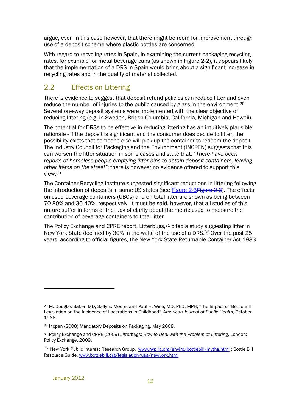argue, even in this case however, that there might be room for improvement through use of a deposit scheme where plastic bottles are concerned.

With regard to recycling rates in Spain, in examining the current packaging recycling rates, for example for metal beverage cans (as shown in Figure 2-2), it appears likely that the implementation of a DRS in Spain would bring about a significant increase in recycling rates and in the quality of material collected.

### 2.2 Effects on Littering

There is evidence to suggest that deposit refund policies can reduce litter and even reduce the number of injuries to the public caused by glass in the environment.<sup>29</sup> Several one-way deposit systems were implemented with the clear objective of reducing littering (e.g. in Sweden, British Columbia, California, Michigan and Hawaii).

The potential for DRSs to be effective in reducing littering has an intuitively plausible rationale - if the deposit is significant and the consumer does decide to litter, the possibility exists that someone else will pick up the container to redeem the deposit. The Industry Council for Packaging and the Environment (INCPEN) suggests that this can worsen the litter situation in some cases and state that: "*There have been reports of homeless people emptying litter bins to obtain deposit containers, leaving other items on the street"*; there is however no evidence offered to support this view.<sup>30</sup>

The Container Recycling Institute suggested significant reductions in littering following the introduction of deposits in some US states (see Figure 2-3Figure 2-3). The effects on used beverage containers (UBCs) and on total litter are shown as being between 70-80% and 30-40%, respectively. It must be said, however, that all studies of this nature suffer in terms of the lack of clarity about the metric used to measure the contribution of beverage containers to total litter.

The Policy Exchange and CPRE report, Litterbugs,  $31$  cited a study suggesting litter in New York State declined by 30% in the wake of the use of a DRS.32 Over the past 25 years, according to official figures, the New York State Returnable Container Act 1983

<sup>29</sup> M. Douglas Baker, MD, Sally E. Moore, and Paul H. Wise, MD, PhD, MPH, "The Impact of 'Bottle Bill' Legislation on the Incidence of Lacerations in Childhood"*, American Journal of Public Health*, October 1986.

<sup>30</sup> Incpen (2008) Mandatory Deposits on Packaging, May 2008.

<sup>31</sup> Policy Exchange and CPRE (2009) *Litterbugs: How to Deal with the Problem of Littering*, London: Policy Exchange, 2009.

<sup>32</sup> New York Public Interest Research Group, www.nypirg.org/enviro/bottlebill/myths.html; Bottle Bill Resource Guide, www.bottlebill.org/legislation/usa/newyork.html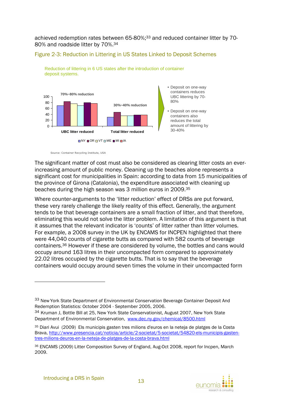achieved redemption rates between 65-80%;<sup>33</sup> and reduced container litter by 70-80% and roadside litter by 70%.<sup>34</sup>

#### Figure 2-3: Reduction in Littering in US States Linked to Deposit Schemes





Source: Container Recycling Institute, USA

The significant matter of cost must also be considered as clearing litter costs an everincreasing amount of public money. Cleaning up the beaches alone represents a significant cost for municipalities in Spain: according to data from 15 municipalities of the province of Girona (Catalonia), the expenditure associated with cleaning up beaches during the high season was 3 million euros in 2009.<sup>35</sup>

Where counter-arguments to the 'litter reduction' effect of DRSs are put forward, these very rarely challenge the likely reality of this effect. Generally, the argument tends to be that beverage containers are a small fraction of litter, and that therefore, eliminating this would not solve the litter problem. A limitation of this argument is that it assumes that the relevant indicator is 'counts' of litter rather than litter volumes. For example, a 2008 survey in the UK by ENCAMS for INCPEN highlighted that there were 44,040 counts of cigarette butts as compared with 582 counts of beverage containers.36 However if these are considered by volume, the bottles and cans would occupy around 163 litres in their uncompacted form compared to approximately 22.02 litres occupied by the cigarette butts. That is to say that the beverage containers would occupy around seven times the volume in their uncompacted form



<sup>33</sup> New York State Department of Environmental Conservation Beverage Container Deposit And Redemption Statistics: October 2004 - September 2005, 2006.

<sup>34</sup> Kruman J, Bottle Bill at 25, New York State Conservationist, August 2007, New York State Department of Environmental Conservation, www.dec.ny.gov/chemical/8500.html

<sup>35</sup> Diari Avui (2009) Els municipis gasten tres milions d'euros en la neteja de platges de la Costa Brava, http://www.presencia.cat/noticia/article/2-societat/5-societat/54820-els-municipis-gastentres-milions-deuros-en-la-neteja-de-platges-de-la-costa-brava.html

<sup>36</sup> ENCAMS (2009) Litter Composition Survey of England, Aug-Oct 2008, report for Incpen, March 2009.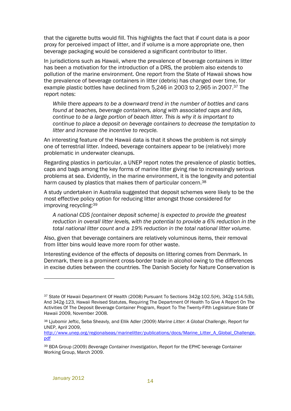that the cigarette butts would fill. This highlights the fact that if count data is a poor proxy for perceived impact of litter, and if volume is a more appropriate one, then beverage packaging would be considered a significant contributor to litter.

In jurisdictions such as Hawaii, where the prevalence of beverage containers in litter has been a motivation for the introduction of a DRS, the problem also extends to pollution of the marine environment. One report from the State of Hawaii shows how the prevalence of beverage containers in litter (debris) has changed over time, for example plastic bottles have declined from 5,246 in 2003 to 2,965 in 2007.37 The report notes:

*While there appears to be a downward trend in the number of bottles and cans found at beaches, beverage containers, along with associated caps and lids, continue to be a large portion of beach litter. This is why it is important to continue to place a deposit on beverage containers to decrease the temptation to litter and increase the incentive to recycle.* 

An interesting feature of the Hawaii data is that it shows the problem is not simply one of terrestrial litter. Indeed, beverage containers appear to be (relatively) more problematic in underwater cleanups.

Regarding plastics in particular, a UNEP report notes the prevalence of plastic bottles, caps and bags among the key forms of marine litter giving rise to increasingly serious problems at sea. Evidently, in the marine environment, it is the longevity and potential harm caused by plastics that makes them of particular concern.<sup>38</sup>

A study undertaken in Australia suggested that deposit schemes were likely to be the most effective policy option for reducing litter amongst those considered for improving recycling:<sup>39</sup>

*A national CDS [container deposit scheme] is expected to provide the greatest reduction in overall litter levels, with the potential to provide a 6% reduction in the total national litter count and a 19% reduction in the total national litter volume.* 

Also, given that beverage containers are relatively voluminous items, their removal from litter bins would leave more room for other waste.

Interesting evidence of the effects of deposits on littering comes from Denmark. In Denmark, there is a prominent cross-border trade in alcohol owing to the differences in excise duties between the countries. The Danish Society for Nature Conservation is

<sup>37</sup> State Of Hawaii Department Of Health (2008) Pursuant To Sections 342g-102.5(H), 342g-114.5(B), And 342g-123, Hawaii Revised Statutes, Requiring The Department Of Health To Give A Report On The Activities Of The Deposit Beverage Container Program, Report To The Twenty-Fifth Legislature State Of Hawaii 2009, November 2008.

<sup>38</sup> Ljubomir Jeftic, Seba Sheavly, and Ellik Adler (2009) *Marine Litter: A Global Challenge*, Report for UNEP, April 2009,

http://www.unep.org/regionalseas/marinelitter/publications/docs/Marine\_Litter\_A\_Global\_Challenge. pdf

<sup>39</sup> BDA Group (2009) *Beverage Container Investigation*, Report for the EPHC beverage Container Working Group, March 2009.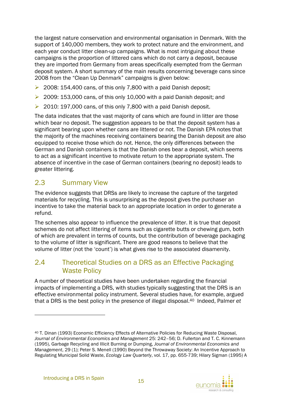the largest nature conservation and environmental organisation in Denmark. With the support of 140,000 members, they work to protect nature and the environment, and each year conduct litter clean-up campaigns. What is most intriguing about these campaigns is the proportion of littered cans which do not carry a deposit, because they are imported from Germany from areas specifically exempted from the German deposit system. A short summary of the main results concerning beverage cans since 2008 from the "Clean Up Denmark" campaigns is given below:

- $\geq$  2008: 154,400 cans, of this only 7,800 with a paid Danish deposit;
- $\geq 2009$ : 153,000 cans, of this only 10,000 with a paid Danish deposit; and
- $\geq$  2010: 197,000 cans, of this only 7,800 with a paid Danish deposit.

The data indicates that the vast majority of cans which are found in litter are those which bear no deposit. The suggestion appears to be that the deposit system has a significant bearing upon whether cans are littered or not. The Danish EPA notes that the majority of the machines receiving containers bearing the Danish deposit are also equipped to receive those which do not. Hence, the only differences between the German and Danish containers is that the Danish ones bear a deposit, which seems to act as a significant incentive to motivate return to the appropriate system. The absence of incentive in the case of German containers (bearing no deposit) leads to greater littering.

### 2.3 Summary View

The evidence suggests that DRSs are likely to increase the capture of the targeted materials for recycling. This is unsurprising as the deposit gives the purchaser an incentive to take the material back to an appropriate location in order to generate a refund.

The schemes also appear to influence the prevalence of litter. It is true that deposit schemes do not affect littering of items such as cigarette butts or chewing gum, both of which are prevalent in terms of counts, but the contribution of beverage packaging to the volume of litter is significant. There are good reasons to believe that the volume of litter (not the 'count') is what gives rise to the associated disamenity.

### 2.4 Theoretical Studies on a DRS as an Effective Packaging Waste Policy

A number of theoretical studies have been undertaken regarding the financial impacts of implementing a DRS, with studies typically suggesting that the DRS is an effective environmental policy instrument. Several studies have, for example, argued that a DRS is the best policy in the presence of illegal disposal.40 Indeed, Palmer *et* 



<sup>40</sup> T. Dinan (1993) Economic Efficiency Effects of Alternative Policies for Reducing Waste Disposal, *Journal of Environmental Economics and Management* 25: 242–56; D. Fullerton and T. C. Kinnemann (1995), Garbage Recycling and Illicit Burning or Dumping, *Journal of Environmental Economics and Management*, 29 (1); Peter S. Menell (1990) Beyond the Throwaway Society: An Incentive Approach to Regulating Municipal Solid Waste, *Ecology Law Quarterly*, vol. 17, pp. 655-739; Hilary Sigman (1995) A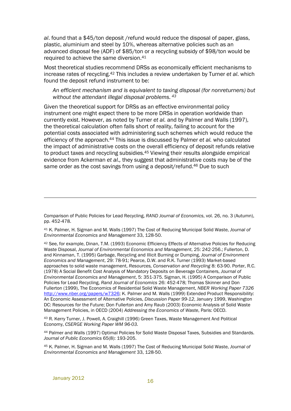*al*. found that a \$45/ton deposit /refund would reduce the disposal of paper, glass, plastic, aluminium and steel by 10%, whereas alternative policies such as an advanced disposal fee (ADF) of \$85/ton or a recycling subsidy of \$98/ton would be required to achieve the same diversion.<sup>41</sup>

Most theoretical studies recommend DRSs as economically efficient mechanisms to increase rates of recycling.42 This includes a review undertaken by Turner *et al*. which found the deposit refund instrument to be:

#### *An efficient mechanism and is equivalent to taxing disposal (for nonreturners) but without the attendant illegal disposal problems.<sup>43</sup>*

Given the theoretical support for DRSs as an effective environmental policy instrument one might expect there to be more DRSs in operation worldwide than currently exist. However, as noted by Turner *et al.* and by Palmer and Walls (1997), the theoretical calculation often falls short of reality, failing to account for the potential costs associated with administering such schemes which would reduce the efficiency of the approach.44 This issue is discussed by Palmer *et al.* who calculated the impact of administrative costs on the overall efficiency of deposit refunds relative to product taxes and recycling subsidies.<sup>45</sup> Viewing their results alongside empirical evidence from Ackerman *et al.,* they suggest that administrative costs may be of the same order as the cost savings from using a deposit/refund.46 Due to such

<u>.</u>

Comparison of Public Policies for Lead Recycling, *RAND Journal of Economics*, vol. 26, no. 3 (Autumn), pp. 452-478.

<sup>41</sup> K. Palmer, H. Sigman and M. Walls (1997) The Cost of Reducing Municipal Solid Waste, *Journal of Environmental Economics and Management* 33, 128-50.

<sup>42</sup> See, for example, Dinan, T.M. (1993) Economic Efficiency Effects of Alternative Policies for Reducing Waste Disposal, *Journal of Environmental Economics and Management*, 25: 242-256.; Fullerton, D. and Kinnaman, T. (1995) Garbage, Recycling and Illicit Burning or Dumping, *Journal of Environment Economics and Management*, 29: 78-91; Pearce, D.W. and R.K. Turner (1993) Market-based approaches to solid waste management, *Resources, Conservation and Recycling* 8: 63-90. Porter, R.C. (1978) A Social Benefit Cost Analysis of Mandatory Deposits on Beverage Containers, *Journal of Environmental Economics and Management*, 5: 351-375. Sigman, H. (1995) A Comparison of Public Policies for Lead Recycling, *Rand Journal of Economics* 26: 452-478; Thomas Skinner and Don Fullerton (1999), The Economics of Residential Solid Waste Management, *NBER Working Paper 7326* http://www.nber.org/papers/w7326; K. Palmer and M. Walls (1999) Extended Product Responsibility: An Economic Assessment of Alternative Policies, *Discussion Paper 99-12*, January 1999, Washington DC: Resources for the Future; Don Fullerton and Amy Raub (2003) Economic Analysis of Solid Waste Management Policies, in OECD (2004) *Addressing the Economics of Waste*, Paris: OECD.

<sup>43</sup> R. Kerry Turner, J. Powell, A. Craighill (1996) Green Taxes, Waste Management And Political Economy, *CSERGE Working Paper WM 96-03.*

<sup>44</sup> Palmer and Walls (1997) Optimal Policies for Solid Waste Disposal Taxes, Subsidies and Standards. *Journal of Public Economics* 65(8): 193-205.

<sup>45</sup> K. Palmer, H. Sigman and M. Walls (1997) The Cost of Reducing Municipal Solid Waste, *Journal of Environmental Economics and Management* 33, 128-50.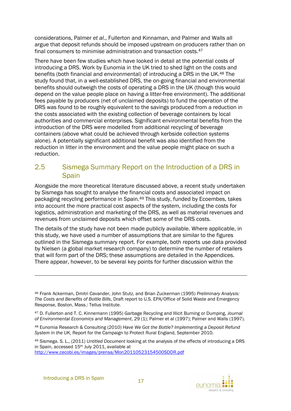considerations, Palmer *et al*., Fullerton and Kinnaman, and Palmer and Walls all argue that deposit refunds should be imposed upstream on producers rather than on final consumers to minimise administration and transaction costs.<sup>47</sup>

There have been few studies which have looked in detail at the potential costs of introducing a DRS. Work by Eunomia in the UK tried to shed light on the costs and benefits (both financial and environmental) of introducing a DRS in the UK.48 The study found that, in a well-established DRS, the on-going financial and environmental benefits should outweigh the costs of operating a DRS in the UK (though this would depend on the value people place on having a litter-free environment). The additional fees payable by producers (net of unclaimed deposits) to fund the operation of the DRS was found to be roughly equivalent to the savings produced from a reduction in the costs associated with the existing collection of beverage containers by local authorities and commercial enterprises. Significant environmental benefits from the introduction of the DRS were modelled from additional recycling of beverage containers (above what could be achieved through kerbside collection systems alone). A potentially significant additional benefit was also identified from the reduction in litter in the environment and the value people might place on such a reduction.

### 2.5 Sismega Summary Report on the Introduction of a DRS in **Spain**

Alongside the more theoretical literature discussed above, a recent study undertaken by Sismega has sought to analyse the financial costs and associated impact on packaging recycling performance in Spain.49 This study, funded by Ecoembes, takes into account the more practical cost aspects of the system, including the costs for logistics, administration and marketing of the DRS, as well as material revenues and revenues from unclaimed deposits which offset some of the DRS costs.

The details of the study have not been made publicly available. Where applicable, in this study, we have used a number of assumptions that are similar to the figures outlined in the Sismega summary report. For example, both reports use data provided by Nielsen (a global market research company) to determine the number of retailers that will form part of the DRS; these assumptions are detailed in the Appendices. There appear, however, to be several key points for further discussion within the

<sup>49</sup> Sismega. S. L., (2011) *Untitled Document* looking at the analysis of the effects of introducing a DRS in Spain, accessed 15<sup>th</sup> July 2011, available at

http://www.cecobi.es/images/prensa/Mon20110523154500SDDR.pdf



<sup>46</sup> Frank Ackerman, Dmitri Cavander, John Stutz, and Brian Zuckerman (1995) *Preliminary Analysis: The Costs and Benefits of Bottle Bills*, Draft report to U.S. EPA/Office of Solid Waste and Emergency Response, Boston, Mass.: Tellus Institute.

<sup>47</sup> D. Fullerton and T. C. Kinnemann (1995) Garbage Recycling and Illicit Burning or Dumping, *Journal of Environmental Economics and Management*, 29 (1); Palmer et al (1997); Palmer and Walls (1997).

<sup>48</sup> Eunomia Research & Consulting (2010) *Have We Got the Bottle? Implementing a Deposit Refund System in the UK,* Report for the Campaign to Protect Rural England, September 2010.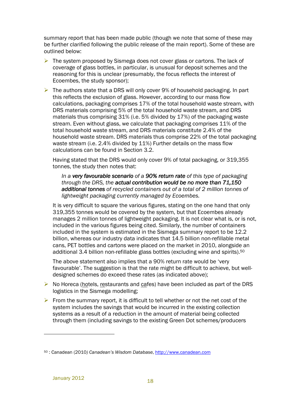summary report that has been made public (though we note that some of these may be further clarified following the public release of the main report). Some of these are outlined below:

 $\triangleright$  The system proposed by Sismega does not cover glass or cartons. The lack of coverage of glass bottles, in particular, is unusual for deposit schemes and the reasoning for this is unclear (presumably, the focus reflects the interest of Ecoembes, the study sponsor);

 $\triangleright$  The authors state that a DRS will only cover 9% of household packaging. In part this reflects the exclusion of glass. However, according to our mass flow calculations, packaging comprises 17% of the total household waste stream, with DRS materials comprising 5% of the total household waste stream, and DRS materials thus comprising 31% (i.e. 5% divided by 17%) of the packaging waste stream. Even without glass, we calculate that packaging comprises 11% of the total household waste stream, and DRS materials constitute 2.4% of the household waste stream. DRS materials thus comprise 22% of the total packaging waste stream (i.e. 2.4% divided by 11%) Further details on the mass flow calculations can be found in Section 3.2.

Having stated that the DRS would only cover 9% of total packaging, or 319,355 tonnes, the study then notes that:

*In a very favourable scenario scenario of a 90% return rate return rate rate of this type of packaging through the DRS, the actual contribution would be no more than 71,150 additional tonnes of recycled containers out of a t tonnes otal of 2 million tonnes of lightweight packaging currently managed by Ecoembes.* 

It is very difficult to square the various figures, stating on the one hand that only 319,355 tonnes would be covered by the system, but that Ecoembes already manages 2 million tonnes of lightweight packaging. It is not clear what is, or is not, included in the various figures being cited. Similarly, the number of containers included in the system is estimated in the Sismega summary report to be 12.2 billion, whereas our industry data indicates that 14.5 billion non-refillable metal cans, PET bottles and cartons were placed on the market in 2010, alongside an additional 3.4 billion non-refillable glass bottles (excluding wine and spirits).<sup>50</sup>

The above statement also implies that a 90% return rate would be 'very favourable'. The suggestion is that the rate might be difficult to achieve, but welldesigned schemes do exceed these rates (as indicated above);

- $\triangleright$  No Horeca (hotels, restaurants and cafes) have been included as part of the DRS logistics in the Sismega modelling;
- $\triangleright$  From the summary report, it is difficult to tell whether or not the net cost of the system includes the savings that would be incurred in the existing collection systems as a result of a reduction in the amount of material being collected through them (including savings to the existing Green Dot schemes/producers

<sup>50</sup> : Canadean (2010*) Canadean's Wisdom Database*, http://www.canadean.com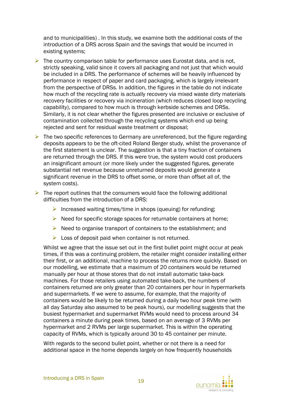and to municipalities) . In this study, we examine both the additional costs of the introduction of a DRS across Spain and the savings that would be incurred in existing systems;

- $\triangleright$  The country comparison table for performance uses Eurostat data, and is not, strictly speaking, valid since it covers all packaging and not just that which would be included in a DRS. The performance of schemes will be heavily influenced by performance in respect of paper and card packaging, which is largely irrelevant from the perspective of DRSs. In addition, the figures in the table do not indicate how much of the recycling rate is actually recovery via mixed waste dirty materials recovery facilities or recovery via incineration (which reduces closed loop recycling capability), compared to how much is through kerbside schemes and DRSs. Similarly, it is not clear whether the figures presented are inclusive or exclusive of contamination collected through the recycling systems which end up being rejected and sent for residual waste treatment or disposal;
- $\triangleright$  The two specific references to Germany are unreferenced, but the figure regarding deposits appears to be the oft-cited Roland Berger study, whilst the provenance of the first statement is unclear. The suggestion is that a tiny fraction of containers are returned through the DRS. If this were true, the system would cost producers an insignificant amount (or more likely under the suggested figures, generate substantial net revenue because unreturned deposits would generate a significant revenue in the DRS to offset some, or more than offset all of, the system costs).
- $\triangleright$  The report outlines that the consumers would face the following additional difficulties from the introduction of a DRS:
	- Increased waiting times/time in shops (queuing) for refunding;
	- $\triangleright$  Need for specific storage spaces for returnable containers at home;
	- $\triangleright$  Need to organise transport of containers to the establishment; and
	- $\triangleright$  Loss of deposit paid when container is not returned.

Whilst we agree that the issue set out in the first bullet point might occur at peak times, if this was a continuing problem, the retailer might consider installing either their first, or an additional, machine to process the returns more quickly. Based on our modelling, we estimate that a maximum of 20 containers would be returned manually per hour at those stores that do not install automatic take-back machines. For those retailers using automated take-back, the numbers of containers returned are only greater than 20 containers per hour in hypermarkets and supermarkets. If we were to assume, for example, that the majority of containers would be likely to be returned during a daily two hour peak time (with all day Saturday also assumed to be peak hours), our modelling suggests that the busiest hypermarket and supermarket RVMs would need to process around 34 containers a minute during peak times, based on an average of 3 RVMs per hypermarket and 2 RVMs per large supermarket. This is within the operating capacity of RVMs, which is typically around 30 to 45 container per minute.

With regards to the second bullet point, whether or not there is a need for additional space in the home depends largely on how frequently households

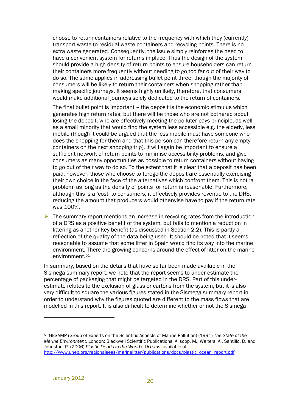choose to return containers relative to the frequency with which they (currently) transport waste to residual waste containers and recycling points. There is no extra waste generated. Consequently, the issue simply reinforces the need to have a convenient system for returns in place. Thus the design of the system should provide a high density of return points to ensure householders can return their containers more frequently without needing to go too far out of their way to do so. The same applies in addressing bullet point three, though the majority of consumers will be likely to return their containers when shopping rather than making specific journeys. It seems highly unlikely, therefore, that consumers would make additional journeys solely dedicated to the return of containers.

The final bullet point is important – the deposit is the economic stimulus which generates high return rates, but there will be those who are not bothered about losing the deposit, who are effectively meeting the polluter pays principle, as well as a small minority that would find the system less accessible e.g. the elderly, less mobile (though it could be argued that the less mobile must have someone who does the shopping for them and that this person can therefore return any empty containers on the next shopping trip). It will again be important to ensure a sufficient network of return points to minimise accessibility problems, and give consumers as many opportunities as possible to return containers without having to go out of their way to do so. To the extent that it is clear that a deposit has been paid, however, those who choose to forego the deposit are essentially exercising their own choice in the face of the alternatives which confront them. This is not 'a problem' as long as the density of points for return is reasonable. Furthermore, although this is a 'cost' to consumers, it effectively provides revenue to the DRS, reducing the amount that producers would otherwise have to pay if the return rate was 100%.

 $\triangleright$  The summary report mentions an increase in recycling rates from the introduction of a DRS as a positive benefit of the system, but fails to mention a reduction in littering as another key benefit (as discussed in Section 2.2). This is partly a reflection of the quality of the data being used. It should be noted that it seems reasonable to assume that some litter in Spain would find its way into the marine environment. There are growing concerns around the effect of litter on the marine environment.<sup>51</sup>

In summary, based on the details that have so far been made available in the Sismega summary report, we note that the report seems to under-estimate the percentage of packaging that might be targeted in the DRS. Part of this underestimate relates to the exclusion of glass or cartons from the system, but it is also very difficult to square the various figures stated in the Sismega summary report in order to understand why the figures quoted are different to the mass flows that are modelled in this report. It is also difficult to determine whether or not the Sismega

<sup>51</sup> GESAMP (Group of Experts on the Scientific Aspects of Marine Pollution) (1991) *The State of the Marine Environment*. London: Blackwell Scientific Publications; Allsopp, M., Walters, A., Santillo, D. and Johnston, P. (2006) *Plastic Debris in the World's Oceans*, available at http://www.unep.org/regionalseas/marinelitter/publications/docs/plastic\_ocean\_report.pdf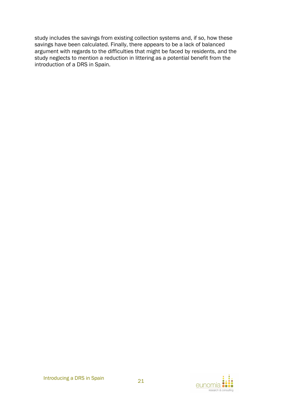study includes the savings from existing collection systems and, if so, how these savings have been calculated. Finally, there appears to be a lack of balanced argument with regards to the difficulties that might be faced by residents, and the study neglects to mention a reduction in littering as a potential benefit from the introduction of a DRS in Spain.

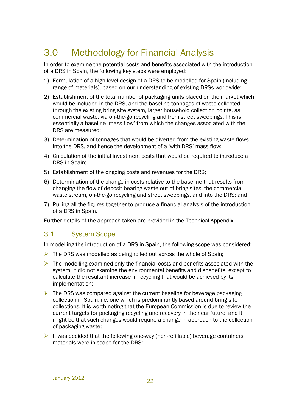# 3.0 Methodology for Financial Analysis

In order to examine the potential costs and benefits associated with the introduction of a DRS in Spain, the following key steps were employed:

- 1) Formulation of a high-level design of a DRS to be modelled for Spain (including range of materials), based on our understanding of existing DRSs worldwide;
- 2) Establishment of the total number of packaging units placed on the market which would be included in the DRS, and the baseline tonnages of waste collected through the existing bring site system, larger household collection points, as commercial waste, via on-the-go recycling and from street sweepings. This is essentially a baseline 'mass flow' from which the changes associated with the DRS are measured;
- 3) Determination of tonnages that would be diverted from the existing waste flows into the DRS, and hence the development of a 'with DRS' mass flow;
- 4) Calculation of the initial investment costs that would be required to introduce a DRS in Spain;
- 5) Establishment of the ongoing costs and revenues for the DRS;
- 6) Determination of the change in costs relative to the baseline that results from changing the flow of deposit-bearing waste out of bring sites, the commercial waste stream, on-the-go recycling and street sweepings, and into the DRS; and
- 7) Pulling all the figures together to produce a financial analysis of the introduction of a DRS in Spain.

Further details of the approach taken are provided in the Technical Appendix.

## 3.1 System Scope

In modelling the introduction of a DRS in Spain, the following scope was considered:

- $\triangleright$  The DRS was modelled as being rolled out across the whole of Spain;
- $\triangleright$  The modelling examined only the financial costs and benefits associated with the system; it did not examine the environmental benefits and disbenefits, except to calculate the resultant increase in recycling that would be achieved by its implementation;
- $\triangleright$  The DRS was compared against the current baseline for beverage packaging collection in Spain, i.e. one which is predominantly based around bring site collections. It is worth noting that the European Commission is due to review the current targets for packaging recycling and recovery in the near future, and it might be that such changes would require a change in approach to the collection of packaging waste;
- It was decided that the following one-way (non-refillable) beverage containers materials were in scope for the DRS: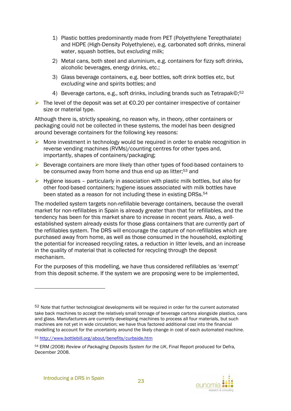- 1) Plastic bottles predominantly made from PET (Polyethylene Terepthalate) and HDPE (High-Density Polyethylene), e.g. carbonated soft drinks, mineral water, squash bottles, but *excluding* milk;
- 2) Metal cans, both steel and aluminium, e.g. containers for fizzy soft drinks, alcoholic beverages, energy drinks, etc.;
- 3) Glass beverage containers, e.g. beer bottles, soft drink bottles etc, but *excluding* wine and spirits bottles; and
- 4) Beverage cartons, e.g., soft drinks, including brands such as Tetrapak©;<sup>52</sup>
- $▶$  The level of the deposit was set at €0.20 per container irrespective of container size or material type.

Although there is, strictly speaking, no reason why, in theory, other containers or packaging could not be collected in these systems, the model has been designed around beverage containers for the following key reasons:

- $\triangleright$  More investment in technology would be required in order to enable recognition in reverse vending machines (RVMs)/counting centres for other types and, importantly, shapes of containers/packaging;
- $\triangleright$  Beverage containers are more likely than other types of food-based containers to be consumed away from home and thus end up as litter;<sup>53</sup> and
- $\triangleright$  Hygiene issues particularly in association with plastic milk bottles, but also for other food-based containers; hygiene issues associated with milk bottles have been stated as a reason for not including these in existing DRSs.<sup>54</sup>

The modelled system targets non-refillable beverage containers, because the overall market for non-refillables in Spain is already greater than that for refillables, and the tendency has been for this market share to increase in recent years. Also, a wellestablished system already exists for those glass containers that are currently part of the refillables system. The DRS will encourage the capture of non-refillables which are purchased away from home, as well as those consumed in the household, exploiting the potential for increased recycling rates, a reduction in litter levels, and an increase in the quality of material that is collected for recycling through the deposit mechanism.

For the purposes of this modelling, we have thus considered refillables as 'exempt' from this deposit scheme. If the system we are proposing were to be implemented,



<sup>&</sup>lt;sup>52</sup> Note that further technological developments will be required in order for the current automated take back machines to accept the relatively small tonnage of beverage cartons alongside plastics, cans and glass. Manufacturers are currently developing machines to process all four materials, but such machines are not yet in wide circulation; we have thus factored additional cost into the financial modelling to account for the uncertainty around the likely change in cost of each automated machine.

<sup>53</sup> http://www.bottlebill.org/about/benefits/curbside.htm

<sup>54</sup> ERM (2008) *Review of Packaging Deposits System for the UK*, Final Report produced for Defra, December 2008.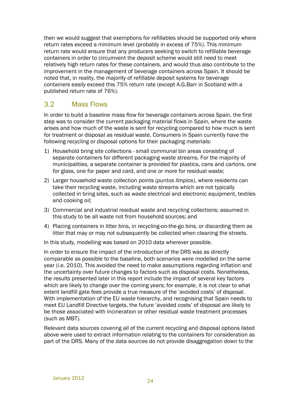then we would suggest that exemptions for refillables should be supported only where return rates exceed a minimum level (probably in excess of 75%). This minimum return rate would ensure that any producers seeking to switch to refillable beverage containers in order to circumvent the deposit scheme would still need to meet relatively high return rates for these containers, and would thus also contribute to the improvement in the management of beverage containers across Spain. It should be noted that, in reality, the majority of refillable deposit systems for beverage containers easily exceed this 75% return rate (except A.G.Barr in Scotland with a published return rate of 76%).

## 3.2 Mass Flows

In order to build a baseline mass flow for beverage containers across Spain, the first step was to consider the current packaging material flows in Spain, where the waste arises and how much of the waste is sent for recycling compared to how much is sent for treatment or disposal as residual waste. Consumers in Spain currently have the following recycling or disposal options for their packaging materials:

- 1) Household bring site collections small communal bin areas consisting of separate containers for different packaging waste streams. For the majority of municipalities, a separate container is provided for plastics, cans and cartons, one for glass, one for paper and card, and one or more for residual waste;
- 2) Larger household waste collection points (*puntos limpios*), where residents can take their recycling waste, including waste streams which are not typically collected in bring sites, such as waste electrical and electronic equipment, textiles and cooking oil;
- 3) Commercial and industrial residual waste and recycling collections; assumed in this study to be all waste not from household sources; and
- 4) Placing containers in litter bins, in recycling-on-the-go bins, or discarding them as litter that may or may not subsequently be collected when cleaning the streets.

In this study, modelling was based on 2010 data wherever possible.

In order to ensure the impact of the introduction of the DRS was as directly comparable as possible to the baseline, both scenarios were modelled on the same year (i.e. 2010). This avoided the need to make assumptions regarding inflation and the uncertainty over future changes to factors such as disposal costs. Nonetheless, the results presented later in this report include the impact of several key factors which are likely to change over the coming years; for example, it is not clear to what extent landfill gate fees provide a true measure of the 'avoided costs' of disposal. With implementation of the EU waste hierarchy, and recognising that Spain needs to meet EU Landfill Directive targets, the future 'avoided costs' of disposal are likely to be those associated with incineration or other residual waste treatment processes (such as MBT).

Relevant data sources covering all of the current recycling and disposal options listed above were used to extract information relating to the containers for consideration as part of the DRS. Many of the data sources do not provide disaggregation down to the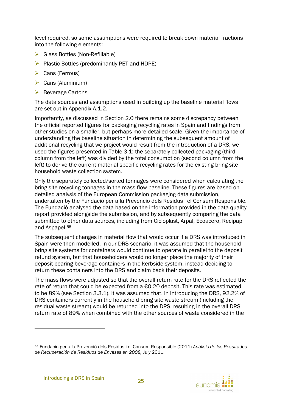level required, so some assumptions were required to break down material fractions into the following elements:

- $\triangleright$  Glass Bottles (Non-Refillable)
- $\triangleright$  Plastic Bottles (predominantly PET and HDPE)
- $\triangleright$  Cans (Ferrous)
- $\triangleright$  Cans (Aluminium)
- $\triangleright$  Beverage Cartons

The data sources and assumptions used in building up the baseline material flows are set out in Appendix A.1.2.

Importantly, as discussed in Section 2.0 there remains some discrepancy between the official reported figures for packaging recycling rates in Spain and findings from other studies on a smaller, but perhaps more detailed scale. Given the importance of understanding the baseline situation in determining the subsequent amount of additional recycling that we project would result from the introduction of a DRS, we used the figures presented in Table 3-1; the separately collected packaging (third column from the left) was divided by the total consumption (second column from the left) to derive the current material specific recycling rates for the existing bring site household waste collection system.

Only the separately collected/sorted tonnages were considered when calculating the bring site recycling tonnages in the mass flow baseline. These figures are based on detailed analysis of the European Commission packaging data submission, undertaken by the Fundació per a la Prevenció dels Residus i el Consum Responsible. The Fundació analysed the data based on the information provided in the data quality report provided alongside the submission, and by subsequently comparing the data submitted to other data sources, including from Cicloplast, Arpal, Ecoacero, Recipap and Aspapel.<sup>55</sup>

The subsequent changes in material flow that would occur if a DRS was introduced in Spain were then modelled. In our DRS scenario, it was assumed that the household bring site systems for containers would continue to operate in parallel to the deposit refund system, but that householders would no longer place the majority of their deposit-bearing beverage containers in the kerbside system, instead deciding to return these containers into the DRS and claim back their deposits.

The mass flows were adjusted so that the overall return rate for the DRS reflected the rate of return that could be expected from a  $\epsilon$ 0.20 deposit. This rate was estimated to be 89% (see Section 3.3.1). It was assumed that, in introducing the DRS, 92.2% of DRS containers currently in the household bring site waste stream (including the residual waste stream) would be returned into the DRS, resulting in the overall DRS return rate of 89% when combined with the other sources of waste considered in the



<sup>55</sup> Fundació per a la Prevenció dels Residus i el Consum Responsible (2011) *Análisis de los Resultados de Recuperación de Residuos de Envases en 2008,* July 2011.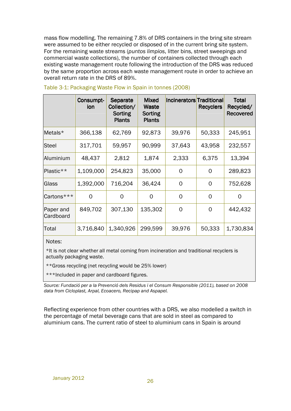mass flow modelling. The remaining 7.8% of DRS containers in the bring site stream were assumed to be either recycled or disposed of in the current bring site system. For the remaining waste streams (*puntos limpios*, litter bins, street sweepings and commercial waste collections), the number of containers collected through each existing waste management route following the introduction of the DRS was reduced by the same proportion across each waste management route in order to achieve an overall return rate in the DRS of 89%.

|                        | Consumpt-<br>ion | <b>Separate</b><br>Collection/<br>Sorting<br><b>Plants</b> | <b>Mixed</b><br>Waste<br>Sorting<br><b>Plants</b> | Incinerators Traditional | <b>Recyclers</b> | <b>Total</b><br>Recycled/<br><b>Recovered</b> |
|------------------------|------------------|------------------------------------------------------------|---------------------------------------------------|--------------------------|------------------|-----------------------------------------------|
| Metals*                | 366,138          | 62,769                                                     | 92,873                                            | 39,976                   | 50,333           | 245,951                                       |
| Steel                  | 317,701          | 59,957                                                     | 90,999                                            | 37,643                   | 43,958           | 232,557                                       |
| Aluminium              | 48,437           | 2,812                                                      | 1,874                                             | 2,333                    | 6,375            | 13,394                                        |
| Plastic**              | 1,109,000        | 254,823                                                    | 35,000                                            | 0                        | $\overline{O}$   | 289,823                                       |
| Glass                  | 1,392,000        | 716,204                                                    | 36,424                                            | 0                        | 0                | 752,628                                       |
| Cartons***             | $\Omega$         | 0                                                          | $\overline{O}$                                    | $\overline{0}$           | $\Omega$         | 0                                             |
| Paper and<br>Cardboard | 849,702          | 307,130                                                    | 135,302                                           | 0                        | O                | 442,432                                       |
| Total                  | 3,716,840        | 1,340,926                                                  | 299,599                                           | 39,976                   | 50,333           | 1,730,834                                     |

#### Table 3-1: Packaging Waste Flow in Spain in tonnes (2008)

Notes:

\*It is not clear whether all metal coming from incineration and traditional recyclers is actually packaging waste.

\*\*Gross recycling (net recycling would be 25% lower)

\*\*\*Included in paper and cardboard figures.

*Source: Fundació per a la Prevenció dels Residus i el Consum Responsible (2011), based on 2008 data from Cicloplast, Arpal, Ecoacero, Recipap and Aspapel.* 

Reflecting experience from other countries with a DRS, we also modelled a switch in the percentage of metal beverage cans that are sold in steel as compared to aluminium cans. The current ratio of steel to aluminium cans in Spain is around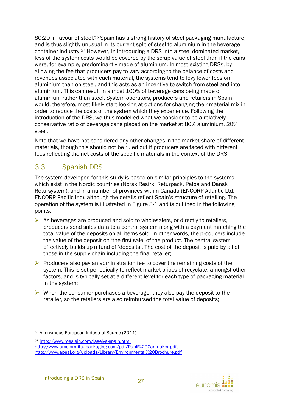80:20 in favour of steel.<sup>56</sup> Spain has a strong history of steel packaging manufacture, and is thus slightly unusual in its current split of steel to aluminium in the beverage container industry.57 However, in introducing a DRS into a steel-dominated market, less of the system costs would be covered by the scrap value of steel than if the cans were, for example, predominantly made of aluminium. In most existing DRSs, by allowing the fee that producers pay to vary according to the balance of costs and revenues associated with each material, the systems tend to levy lower fees on aluminium than on steel, and this acts as an incentive to switch from steel and into aluminium. This can result in almost 100% of beverage cans being made of aluminium rather than steel. System operators, producers and retailers in Spain would, therefore, most likely start looking at options for changing their material mix in order to reduce the costs of the system which they experience. Following the introduction of the DRS, we thus modelled what we consider to be a relatively conservative ratio of beverage cans placed on the market at 80% aluminium, 20% steel.

Note that we have not considered any other changes in the market share of different materials, though this should not be ruled out if producers are faced with different fees reflecting the net costs of the specific materials in the context of the DRS.

## 3.3 Spanish DRS

The system developed for this study is based on similar principles to the systems which exist in the Nordic countries (Norsk Resirk, Returpack, Palpa and Dansk Retursystem), and in a number of provinces within Canada (ENCORP Atlantic Ltd, ENCORP Pacific Inc), although the details reflect Spain's structure of retailing. The operation of the system is illustrated in Figure 3-1 and is outlined in the following points:

- $\triangleright$  As beverages are produced and sold to wholesalers, or directly to retailers, producers send sales data to a central system along with a payment matching the total value of the deposits on all items sold. In other words, the producers include the value of the deposit on 'the first sale' of the product. The central system effectively builds up a fund of 'deposits'. The cost of the deposit is paid by all of those in the supply chain including the final retailer;
- $\triangleright$  Producers also pay an administration fee to cover the remaining costs of the system. This is set periodically to reflect market prices of recyclate, amongst other factors, and is typically set at a different level for each type of packaging material in the system;
- $\triangleright$  When the consumer purchases a beverage, they also pay the deposit to the retailer, so the retailers are also reimbursed the total value of deposits;



<sup>56</sup> Anonymous European Industrial Source (2011)

<sup>57</sup> http://www.roeslein.com/laselva-spain.html, http://www.arcelormittalpackaging.com/pdf/Publi%20Canmaker.pdf, http://www.apeal.org/uploads/Library/Environmental%20Brochure.pdf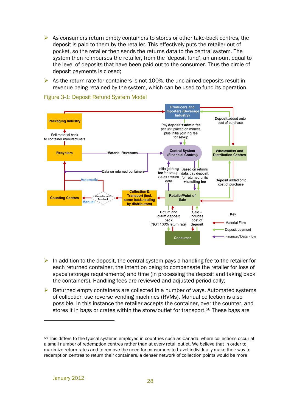- $\triangleright$  As consumers return empty containers to stores or other take-back centres, the deposit is paid to them by the retailer. This effectively puts the retailer out of pocket, so the retailer then sends the returns data to the central system. The system then reimburses the retailer, from the 'deposit fund', an amount equal to the level of deposits that have been paid out to the consumer. Thus the circle of deposit payments is closed;
- $\triangleright$  As the return rate for containers is not 100%, the unclaimed deposits result in revenue being retained by the system, which can be used to fund its operation.



#### Figure 3-1: Deposit Refund System Model

- In addition to the deposit, the central system pays a handling fee to the retailer for each returned container, the intention being to compensate the retailer for loss of space (storage requirements) and time (in processing the deposit and taking back the containers). Handling fees are reviewed and adjusted periodically;
- $\triangleright$  Returned empty containers are collected in a number of ways. Automated systems of collection use reverse vending machines (RVMs). Manual collection is also possible. In this instance the retailer accepts the container, over the counter, and stores it in bags or crates within the store/outlet for transport.<sup>58</sup> These bags are

<sup>58</sup> This differs to the typical systems employed in countries such as Canada, where collections occur at a small number of redemption centres rather than at every retail outlet. We believe that in order to maximize return rates and to remove the need for consumers to travel individually make their way to redemption centres to return their containers, a denser network of collection points would be more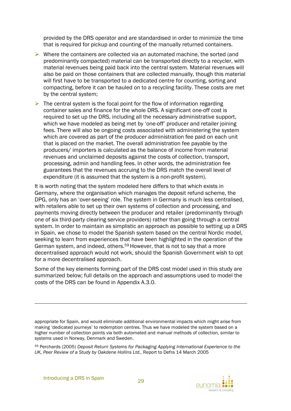provided by the DRS operator and are standardised in order to minimize the time that is required for pickup and counting of the manually returned containers.

- $\triangleright$  Where the containers are collected via an automated machine, the sorted (and predominantly compacted) material can be transported directly to a recycler, with material revenues being paid back into the central system. Material revenues will also be paid on those containers that are collected manually, though this material will first have to be transported to a dedicated centre for counting, sorting and compacting, before it can be hauled on to a recycling facility. These costs are met by the central system;
- $\triangleright$  The central system is the focal point for the flow of information regarding container sales and finance for the whole DRS. A significant one-off cost is required to set up the DRS, including all the necessary administrative support, which we have modeled as being met by 'one-off' producer and retailer joining fees. There will also be ongoing costs associated with administering the system which are covered as part of the producer administration fee paid on each unit that is placed on the market. The overall administration fee payable by the producers/ importers is calculated as the balance of income from material revenues and unclaimed deposits against the costs of collection, transport, processing, admin and handling fees. In other words, the administration fee guarantees that the revenues accruing to the DRS match the overall level of expenditure (it is assumed that the system is a non-profit system).

It is worth noting that the system modeled here differs to that which exists in Germany, where the organisation which manages the deposit refund scheme, the DPG, only has an 'over-seeing' role. The system in Germany is much less centralised, with retailers able to set up their own systems of collection and processing, and payments moving directly between the producer and retailer (predominantly through one of six third-party clearing service providers) rather than going through a central system. In order to maintain as simplistic an approach as possible to setting up a DRS in Spain, we chose to model the Spanish system based on the central Nordic model, seeking to learn from experiences that have been highlighted in the operation of the German system, and indeed, others.59 However, that is not to say that a more decentralised approach would not work, should the Spanish Government wish to opt for a more decentralised approach.

Some of the key elements forming part of the DRS cost model used in this study are summarized below; full details on the approach and assumptions used to model the costs of the DRS can be found in Appendix A.3.0.

<sup>59</sup> Perchards (2005) *Deposit Return Systems for Packaging Applying International Experience to the UK, Peer Review of a Study by Oakdene Hollins Ltd.*, Report to Defra 14 March 2005



appropriate for Spain, and would eliminate additional environmental impacts which might arise from making 'dedicated journeys' to redemption centres. Thus we have modeled the system based on a higher number of collection points via both automated and manual methods of collection, similar to systems used in Norway, Denmark and Sweden.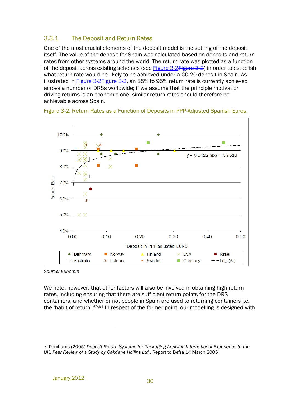## 3.3.1 The Deposit and Return Rates

One of the most crucial elements of the deposit model is the setting of the deposit itself. The value of the deposit for Spain was calculated based on deposits and return rates from other systems around the world. The return rate was plotted as a function of the deposit across existing schemes (see Figure 3-2 Figure 3-2) in order to establish what return rate would be likely to be achieved under a €0.20 deposit in Spain. As illustrated in **Figure 3-2Figure 3-2**, an 85% to 95% return rate is currently achieved across a number of DRSs worldwide; if we assume that the principle motivation driving returns is an economic one, similar return rates should therefore be achievable across Spain.



Figure 3-2: Return Rates as a Function of Deposits in PPP-Adjusted Spanish Euros.

*Source: Eunomia* 

 $\overline{a}$ 

We note, however, that other factors will also be involved in obtaining high return rates, including ensuring that there are sufficient return points for the DRS containers, and whether or not people in Spain are used to returning containers i.e. the 'habit of return'.60,61 In respect of the former point, our modelling is designed with

<sup>60</sup> Perchards (2005) *Deposit Return Systems for Packaging Applying International Experience to the UK, Peer Review of a Study by Oakdene Hollins Ltd.*, Report to Defra 14 March 2005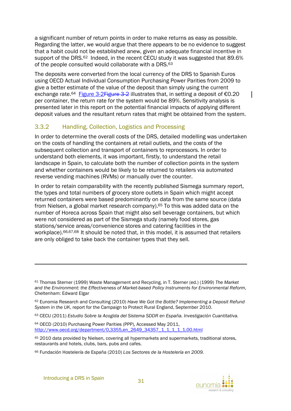a significant number of return points in order to make returns as easy as possible. Regarding the latter, we would argue that there appears to be no evidence to suggest that a habit could not be established anew, given an adequate financial incentive in support of the DRS.<sup>62</sup> Indeed, in the recent CECU study it was suggested that 89.6% of the people consulted would collaborate with a DRS.<sup>63</sup>

The deposits were converted from the local currency of the DRS to Spanish Euros using OECD Actual Individual Consumption Purchasing Power Parities from 2009 to give a better estimate of the value of the deposit than simply using the current exchange rate.<sup>64</sup> Figure 3-2 Figure 3-2 illustrates that, in setting a deposit of  $\epsilon$ 0.20 per container, the return rate for the system would be 89%. Sensitivity analysis is presented later in this report on the potential financial impacts of applying different deposit values and the resultant return rates that might be obtained from the system.

## 3.3.2 Handling, Collection, Logistics and Processing

In order to determine the overall costs of the DRS, detailed modelling was undertaken on the costs of handling the containers at retail outlets, and the costs of the subsequent collection and transport of containers to reprocessors. In order to understand both elements, it was important, firstly, to understand the retail landscape in Spain, to calculate both the number of collection points in the system and whether containers would be likely to be returned to retailers via automated reverse vending machines (RVMs) or manually over the counter.

In order to retain comparability with the recently published Sismega summary report, the types and total numbers of grocery store outlets in Spain which might accept returned containers were based predominantly on data from the same source (data from Nielsen, a global market research company).65 To this was added data on the number of Horeca across Spain that might also sell beverage containers, but which were not considered as part of the Sismega study (namely food stores, gas stations/service areas/convenience stores and catering facilities in the workplace).<sup>66,67,68</sup> It should be noted that, in this model, it is assumed that retailers are only obliged to take back the container types that they sell.

<sup>63</sup> CECU (2011) *Estudio Sobre la Acogida del Sistema SDDR en España. Investigación Cuantitativa.*

<sup>64</sup> OECD (2010) Purchasing Power Parities (PPP), Accessed May 2011, http://www.oecd.org/department/0,3355,en\_2649\_34357\_1\_1\_1\_1\_1,00.html



<sup>61</sup> Thomas Sterner (1999) Waste Management and Recycling, in T. Sterner (ed.) (1999) *The Market and the Environment: the Effectiveness of Market-based Policy Instruments for Environmental Reform*, Cheltenham: Edward Elgar

<sup>62</sup> Eunomia Research and Consulting (2010) *Have We Got the Bottle? Implementing a Deposit Refund System in the UK*, report for the Campaign to Protect Rural England, September 2010.

<sup>&</sup>lt;sup>65</sup> 2010 data provided by Nielsen, covering all hypermarkets and supermarkets, traditional stores, restaurants and hotels, clubs, bars, pubs and cafes.

<sup>66</sup> Fundación Hosteler*í*a de España (2010) *Los Sectores de la Hostelería en 2009.*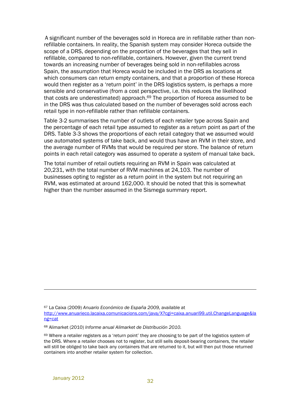A significant number of the beverages sold in Horeca are in refillable rather than nonrefillable containers. In reality, the Spanish system may consider Horeca outside the scope of a DRS, depending on the proportion of the beverages that they sell in refillable, compared to non-refillable, containers. However, given the current trend towards an increasing number of beverages being sold in non-refillables across Spain, the assumption that Horeca would be included in the DRS as locations at which consumers can return empty containers, and that a proportion of these Horeca would then register as a 'return point' in the DRS logistics system, is perhaps a more sensible and conservative (from a cost perspective, i.e. this reduces the likelihood that costs are underestimated) approach.<sup>69</sup> The proportion of Horeca assumed to be in the DRS was thus calculated based on the number of beverages sold across each retail type in non-refillable rather than refillable containers.

Table 3-2 summarises the number of outlets of each retailer type across Spain and the percentage of each retail type assumed to register as a return point as part of the DRS. Table 3-3 shows the proportions of each retail category that we assumed would use automated systems of take back, and would thus have an RVM in their store, and the average number of RVMs that would be required per store. The balance of return points in each retail category was assumed to operate a system of manual take back.

The total number of retail outlets requiring an RVM in Spain was calculated at 20,231, with the total number of RVM machines at 24,103. The number of businesses opting to register as a return point in the system but not requiring an RVM, was estimated at around 162,000. It should be noted that this is somewhat higher than the number assumed in the Sismega summary report.

1

<sup>67</sup> La Caixa (2009) *Anuario Económico de España 2009,* available at

http://www.anuarieco.lacaixa.comunicacions.com/java/X?cgi=caixa.anuari99.util.ChangeLanguage&la ng=cat

<sup>68</sup> Alimarket (2010) *Informe anual Alimarket de Distribución 2010.*

<sup>69</sup> Where a retailer registers as a 'return point' they are choosing to be part of the logistics system of the DRS. Where a retailer chooses not to register, but still sells deposit-bearing containers, the retailer will still be obliged to take back any containers that are returned to it, but will then put those returned containers into another retailer system for collection.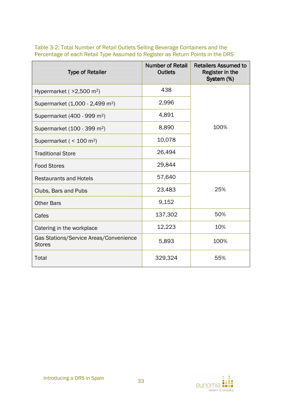| <b>Type of Retailer</b>                                 | <b>Number of Retail</b><br><b>Outlets</b> | <b>Retailers Assumed to</b><br>Register in the<br>System (%) |
|---------------------------------------------------------|-------------------------------------------|--------------------------------------------------------------|
| Hypermarket ( $>2,500$ m <sup>2</sup> )                 | 438                                       |                                                              |
| Supermarket (1,000 - 2,499 m <sup>2</sup> )             | 2,996                                     |                                                              |
| Supermarket (400 - 999 m <sup>2</sup> )                 | 4,891                                     |                                                              |
| Supermarket (100 - 399 m <sup>2</sup> )                 | 8,890                                     | 100%                                                         |
| Supermarket ( $<$ 100 m <sup>2</sup> )                  | 10,078                                    |                                                              |
| <b>Traditional Store</b>                                | 26,494                                    |                                                              |
| <b>Food Stores</b>                                      | 29,844                                    |                                                              |
| <b>Restaurants and Hotels</b>                           | 57,640                                    |                                                              |
| Clubs, Bars and Pubs                                    | 23,483                                    | 25%                                                          |
| <b>Other Bars</b>                                       | 9,152                                     |                                                              |
| Cafes                                                   | 137,302                                   | 50%                                                          |
| Catering in the workplace                               | 12,223                                    | 10%                                                          |
| Gas Stations/Service Areas/Convenience<br><b>Stores</b> | 5,893                                     | 100%                                                         |
| Total                                                   | 329,324                                   | 55%                                                          |

Table 3-2: Total Number of Retail Outlets Selling Beverage Containers and the Percentage of each Retail Type Assumed to Register as Return Points in the DRS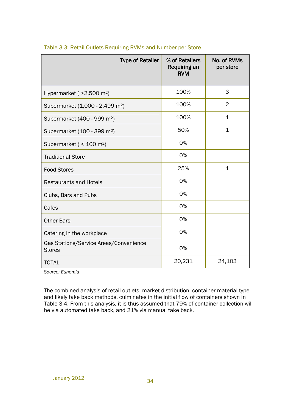| <b>Type of Retailer</b>                                 | % of Retailers<br><b>Requiring an</b><br><b>RVM</b> | No. of RVMs<br>per store |
|---------------------------------------------------------|-----------------------------------------------------|--------------------------|
| Hypermarket ( $>2,500$ m <sup>2</sup> )                 | 100%                                                | 3                        |
| Supermarket (1,000 - 2,499 m <sup>2</sup> )             | 100%                                                | $\overline{2}$           |
| Supermarket (400 - 999 m <sup>2</sup> )                 | 100%                                                | $\mathbf{1}$             |
| Supermarket (100 - 399 m <sup>2</sup> )                 | 50%                                                 | $\mathbf{1}$             |
| Supermarket ( $<$ 100 m <sup>2</sup> )                  | 0%                                                  |                          |
| <b>Traditional Store</b>                                | 0%                                                  |                          |
| <b>Food Stores</b>                                      | 25%                                                 | $\mathbf{1}$             |
| <b>Restaurants and Hotels</b>                           | 0%                                                  |                          |
| Clubs, Bars and Pubs                                    | 0%                                                  |                          |
| Cafes                                                   | 0%                                                  |                          |
| <b>Other Bars</b>                                       | 0%                                                  |                          |
| Catering in the workplace                               | 0%                                                  |                          |
| Gas Stations/Service Areas/Convenience<br><b>Stores</b> | 0%                                                  |                          |
| <b>TOTAL</b>                                            | 20,231                                              | 24,103                   |

#### Table 3-3: Retail Outlets Requiring RVMs and Number per Store

*Source: Eunomia* 

The combined analysis of retail outlets, market distribution, container material type and likely take back methods, culminates in the initial flow of containers shown in Table 3-4. From this analysis, it is thus assumed that 79% of container collection will be via automated take back, and 21% via manual take back.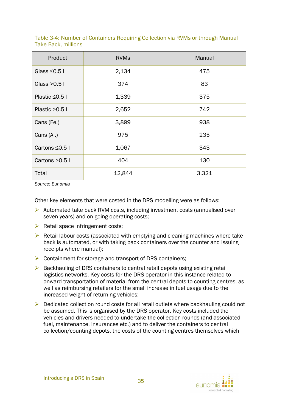| Product            | <b>RVMs</b> | Manual |  |
|--------------------|-------------|--------|--|
| Glass $\leq$ 0.5 l | 2,134       | 475    |  |
| Glass $>0.5$ I     | 374         | 83     |  |
| Plastic $\leq$ 0.5 | 1,339       | 375    |  |
| Plastic $>0.5$ I   | 2,652       | 742    |  |
| Cans (Fe.)         | 3,899       | 938    |  |
| Cans (Al.)         | 975         | 235    |  |
| Cartons ≤0.5 I     | 1,067       | 343    |  |
| Cartons $>0.5$ I   | 404         | 130    |  |
| Total              | 12,844      | 3,321  |  |

Table 3-4: Number of Containers Requiring Collection via RVMs or through Manual Take Back, millions

*Source: Eunomia* 

Other key elements that were costed in the DRS modelling were as follows:

- $\triangleright$  Automated take back RVM costs, including investment costs (annualised over seven years) and on-going operating costs;
- $\triangleright$  Retail space infringement costs;
- $\triangleright$  Retail labour costs (associated with emptying and cleaning machines where take back is automated, or with taking back containers over the counter and issuing receipts where manual);
- $\triangleright$  Containment for storage and transport of DRS containers;
- $\triangleright$  Backhauling of DRS containers to central retail depots using existing retail logistics networks. Key costs for the DRS operator in this instance related to onward transportation of material from the central depots to counting centres, as well as reimbursing retailers for the small increase in fuel usage due to the increased weight of returning vehicles;
- $\triangleright$  Dedicated collection round costs for all retail outlets where backhauling could not be assumed. This is organised by the DRS operator. Key costs included the vehicles and drivers needed to undertake the collection rounds (and associated fuel, maintenance, insurances etc.) and to deliver the containers to central collection/counting depots, the costs of the counting centres themselves which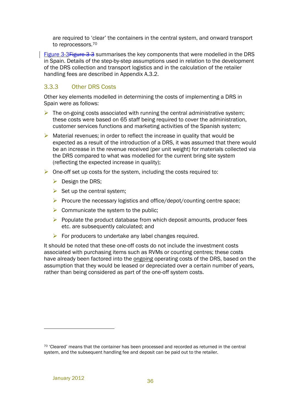are required to 'clear' the containers in the central system, and onward transport to reprocessors.<sup>70</sup>

Figure 3-3 Figure 3-3 summarises the key components that were modelled in the DRS in Spain. Details of the step-by-step assumptions used in relation to the development of the DRS collection and transport logistics and in the calculation of the retailer handling fees are described in Appendix A.3.2.

### 3.3.3 Other DRS Costs

Other key elements modelled in determining the costs of implementing a DRS in Spain were as follows:

- $\triangleright$  The on-going costs associated with running the central administrative system; these costs were based on 65 staff being required to cover the administration, customer services functions and marketing activities of the Spanish system;
- $\triangleright$  Material revenues; in order to reflect the increase in quality that would be expected as a result of the introduction of a DRS, it was assumed that there would be an increase in the revenue received (per unit weight) for materials collected via the DRS compared to what was modelled for the current bring site system (reflecting the expected increase in quality);
- $\triangleright$  One-off set up costs for the system, including the costs required to:
	- $\triangleright$  Design the DRS:
	- $\triangleright$  Set up the central system;
	- $\triangleright$  Procure the necessary logistics and office/depot/counting centre space;
	- $\triangleright$  Communicate the system to the public;
	- $\triangleright$  Populate the product database from which deposit amounts, producer fees etc. are subsequently calculated; and
	- $\triangleright$  For producers to undertake any label changes required.

It should be noted that these one-off costs do not include the investment costs associated with purchasing items such as RVMs or counting centres; these costs have already been factored into the ongoing operating costs of the DRS, based on the assumption that they would be leased or depreciated over a certain number of years, rather than being considered as part of the one-off system costs.

<sup>70</sup> 'Cleared' means that the container has been processed and recorded as returned in the central system, and the subsequent handling fee and deposit can be paid out to the retailer.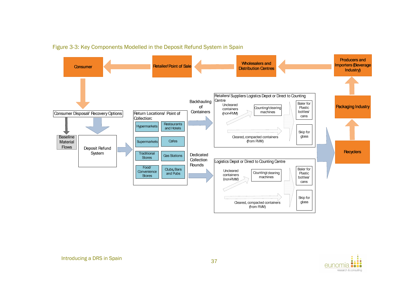

Figure 3-3: Key Components Modelled in the Deposit Refund System in Spain

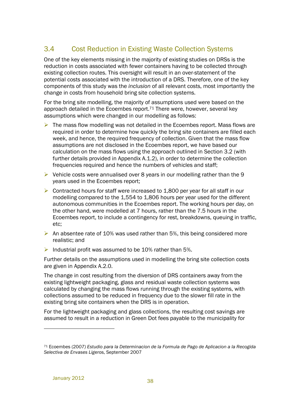## 3.4 Cost Reduction in Existing Waste Collection Systems

One of the key elements missing in the majority of existing studies on DRSs is the reduction in costs associated with fewer containers having to be collected through existing collection routes. This oversight will result in an over-statement of the potential costs associated with the introduction of a DRS. Therefore, one of the key components of this study was the *inclusion* of all relevant costs, most importantly the change in costs from household bring site collection systems.

For the bring site modelling, the majority of assumptions used were based on the approach detailed in the Ecoembes report.<sup>71</sup> There were, however, several key assumptions which were changed in our modelling as follows:

- $\triangleright$  The mass flow modelling was not detailed in the Ecoembes report. Mass flows are required in order to determine how quickly the bring site containers are filled each week, and hence, the required frequency of collection. Given that the mass flow assumptions are not disclosed in the Ecoembes report, we have based our calculation on the mass flows using the approach outlined in Section 3.2 (with further details provided in Appendix A.1.2), in order to determine the collection frequencies required and hence the numbers of vehicles and staff;
- $\triangleright$  Vehicle costs were annualised over 8 years in our modelling rather than the 9 years used in the Ecoembes report;
- $\triangleright$  Contracted hours for staff were increased to 1,800 per year for all staff in our modelling compared to the 1,554 to 1,806 hours per year used for the different autonomous communities in the Ecoembes report. The working hours per day, on the other hand, were modelled at 7 hours, rather than the 7.5 hours in the Ecoembes report, to include a contingency for rest, breakdowns, queuing in traffic, etc;
- An absentee rate of 10% was used rather than 5%, this being considered more realistic; and
- $\triangleright$  Industrial profit was assumed to be 10% rather than 5%.

Further details on the assumptions used in modelling the bring site collection costs are given in Appendix A.2.0.

The change in cost resulting from the diversion of DRS containers away from the existing lightweight packaging, glass and residual waste collection systems was calculated by changing the mass flows running through the existing systems, with collections assumed to be reduced in frequency due to the slower fill rate in the existing bring site containers when the DRS is in operation.

For the lightweight packaging and glass collections, the resulting cost savings are assumed to result in a reduction in Green Dot fees payable to the municipality for

<sup>71</sup> Ecoembes (20*07) Estudio para la Determinacion de la Formula de Pago de Aplicacion a la Recogida Selectiva de Envases Lig*eros, September 2007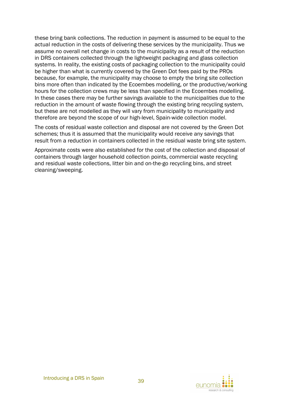these bring bank collections. The reduction in payment is assumed to be equal to the actual reduction in the costs of delivering these services by the municipality. Thus we assume no overall net change in costs to the municipality as a result of the reduction in DRS containers collected through the lightweight packaging and glass collection systems. In reality, the existing costs of packaging collection to the municipality could be higher than what is currently covered by the Green Dot fees paid by the PROs because, for example, the municipality may choose to empty the bring site collection bins more often than indicated by the Ecoembes modelling, or the productive/working hours for the collection crews may be less than specified in the Ecoembes modelling. In these cases there may be further savings available to the municipalities due to the reduction in the amount of waste flowing through the existing bring recycling system, but these are not modelled as they will vary from municipality to municipality and therefore are beyond the scope of our high-level, Spain-wide collection model.

The costs of residual waste collection and disposal are not covered by the Green Dot schemes; thus it is assumed that the municipality would receive any savings that result from a reduction in containers collected in the residual waste bring site system.

Approximate costs were also established for the cost of the collection and disposal of containers through larger household collection points, commercial waste recycling and residual waste collections, litter bin and on-the-go recycling bins, and street cleaning/sweeping.

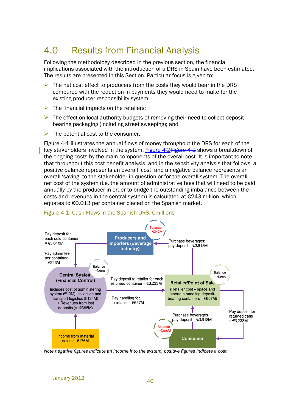# 4.0 Results from Financial Analysis

Following the methodology described in the previous section, the financial implications associated with the introduction of a DRS in Spain have been estimated. The results are presented in this Section. Particular focus is given to:

- The net cost effect to producers from the costs they would bear in the DRS compared with the reduction in payments they would need to make for the existing producer responsibility system;
- $\triangleright$  The financial impacts on the retailers:
- $\triangleright$  The effect on local authority budgets of removing their need to collect depositbearing packaging (including street sweeping); and
- $\triangleright$  The potential cost to the consumer.

Figure 4-1 illustrates the annual flows of money throughout the DRS for each of the key stakeholders involved in the system. Figure 4-2Figure 4-2 shows a breakdown of the ongoing costs by the main components of the overall cost. It is important to note that throughout this cost benefit analysis, and in the sensitivity analysis that follows, a positive balance represents an overall 'cost' and a negative balance represents an overall 'saving' to the stakeholder in question or for the overall system. The overall net cost of the system (i.e. the amount of administrative fees that will need to be paid annually by the producer in order to bridge the outstanding imbalance between the costs and revenues in the central system) is calculated at €243 million, which equates to €0.013 per container placed on the Spanish market.



#### Figure 4-1: Cash Flows in the Spanish DRS, €millions

*Note negative figures indicate an income into the system, positive figures indicate a cost.*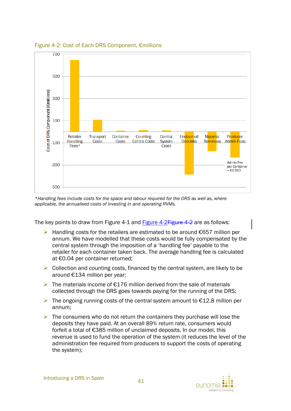

Figure 4-2: Cost of Each DRS Component, €millions

*\*Handling fees include costs for the space and labour required for the DRS as well as, where applicable, the annualised costs of investing in and operating RVMs.* 

The key points to draw from Figure 4-1 and Figure 4-2Figure 4-2 are as follows:

- $\triangleright$  Handling costs for the retailers are estimated to be around  $\epsilon$ 657 million per annum. We have modelled that these costs would be fully compensated by the central system through the imposition of a 'handling fee' payable to the retailer for each container taken back. The average handling fee is calculated at €0.04 per container returned;
- $\triangleright$  Collection and counting costs, financed by the central system, are likely to be around €134 million per year;
- The materials income of  $E176$  million derived from the sale of materials collected through the DRS goes towards paying for the running of the DRS;
- $▶$  The ongoing running costs of the central system amount to  $£12.8$  million per annum;
- $\triangleright$  The consumers who do not return the containers they purchase will lose the deposits they have paid. At an overall 89% return rate, consumers would forfeit a total of €385 million of unclaimed deposits. In our model, this revenue is used to fund the operation of the system (it reduces the level of the administration fee required from producers to support the costs of operating the system);

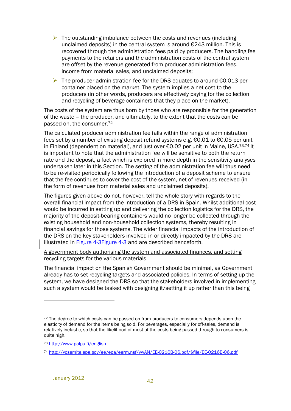- $\triangleright$  The outstanding imbalance between the costs and revenues (including unclaimed deposits) in the central system is around €243 million. This is recovered through the administration fees paid by producers. The handling fee payments to the retailers and the administration costs of the central system are offset by the revenue generated from producer administration fees, income from material sales, and unclaimed deposits;
- $\triangleright$  The producer administration fee for the DRS equates to around  $\epsilon$ 0.013 per container placed on the market. The system implies a net cost to the producers (in other words, producers are effectively paying for the collection and recycling of beverage containers that they place on the market).

The costs of the system are thus born by those who are responsible for the generation of the waste – the producer, and ultimately, to the extent that the costs can be passed on, the consumer.<sup>72</sup>

The calculated producer administration fee falls within the range of administration fees set by a number of existing deposit refund systems e.g. €0.01 to €0.05 per unit in Finland (dependent on material), and just over €0.02 per unit in Maine, USA.<sup>73,74</sup> It is important to note that the administration fee will be sensitive to both the return rate and the deposit, a fact which is explored in more depth in the sensitivity analyses undertaken later in this Section. The setting of the administration fee will thus need to be re-visited periodically following the introduction of a deposit scheme to ensure that the fee continues to cover the cost of the system, net of revenues received (in the form of revenues from material sales and unclaimed deposits).

The figures given above do not, however, tell the whole story with regards to the overall financial impact from the introduction of a DRS in Spain. Whilst additional cost would be incurred in setting up and delivering the collection logistics for the DRS, the majority of the deposit-bearing containers would no longer be collected through the existing household and non-household collection systems, thereby resulting in financial savings for those systems. The wider financial impacts of the introduction of the DRS on the key stakeholders involved in or directly impacted by the DRS are illustrated in **Figure 4-3Figure 4-3** and are described henceforth.

#### A government body authorising the system and associated finances, and setting recycling targets for the various materials

The financial impact on the Spanish Government should be minimal, as Government already has to set recycling targets and associated policies. In terms of setting up the system, we have designed the DRS so that the stakeholders involved in implementing such a system would be tasked with designing it/setting it up rather than this being

 $72$  The degree to which costs can be passed on from producers to consumers depends upon the elasticity of demand for the items being sold. For beverages, especially for off-sales, demand is relatively inelastic, so that the likelihood of most of the costs being passed through to consumers is quite high.

<sup>73</sup> http://www.palpa.fi/english

<sup>74</sup> http://yosemite.epa.gov/ee/epa/eerm.nsf/vwAN/EE-0216B-06.pdf/\$file/EE-0216B-06.pdf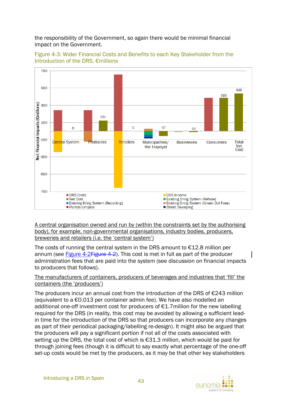the responsibility of the Government, so again there would be minimal financial impact on the Government.





A central organisation owned and run by (within the constraints set by the authorising body), for example, non-governmental organisations, industry bodies, producers, breweries and retailers (i.e. the 'central system')

The costs of running the central system in the DRS amount to  $E12.8$  million per annum (see Figure 4-2Figure 4-2). This cost is met in full as part of the producer administration fees that are paid into the system (see discussion on financial impacts to producers that follows).

#### The manufacturers of containers, producers of beverages and industries that 'fill' the containers (the 'producers')

The producers incur an annual cost from the introduction of the DRS of  $\epsilon$ 243 million (equivalent to a €0.013 per container admin fee). We have also modelled an additional one-off investment cost for producers of €1.7million for the new labelling required for the DRS (in reality, this cost may be avoided by allowing a sufficient leadin time for the introduction of the DRS so that producers can incorporate any changes as part of their periodical packaging/labelling re-design). It might also be argued that the producers will pay a significant portion if not all of the costs associated with setting up the DRS, the total cost of which is €31.3 million, which would be paid for through joining fees (though it is difficult to say exactly what percentage of the one-off set-up costs would be met by the producers, as it may be that other key stakeholders

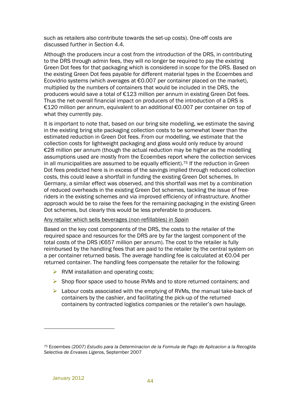such as retailers also contribute towards the set-up costs). One-off costs are discussed further in Section 4.4.

Although the producers incur a cost from the introduction of the DRS, in contributing to the DRS through admin fees, they will no longer be required to pay the existing Green Dot fees for that packaging which is considered in scope for the DRS. Based on the existing Green Dot fees payable for different material types in the Ecoembes and Ecovidrio systems (which averages at €0.007 per container placed on the market), multiplied by the numbers of containers that would be included in the DRS, the producers would save a total of €123 million per annum in existing Green Dot fees. Thus the net overall financial impact on producers of the introduction of a DRS is €120 million per annum, equivalent to an additional €0.007 per container on top of what they currently pay.

It is important to note that, based on our bring site modelling, we estimate the saving in the existing bring site packaging collection costs to be somewhat lower than the estimated reduction in Green Dot fees. From our modelling, we estimate that the collection costs for lightweight packaging and glass would only reduce by around €28 million per annum (though the actual reduction may be higher as the modelling assumptions used are mostly from the Ecoembes report where the collection services in all municipalities are assumed to be equally efficient).<sup>75</sup> If the reduction in Green Dot fees predicted here is in excess of the savings implied through reduced collection costs, this could leave a shortfall in funding the existing Green Dot schemes. In Germany, a similar effect was observed, and this shortfall was met by a combination of reduced overheads in the existing Green Dot schemes, tackling the issue of freeriders in the existing schemes and via improved efficiency of infrastructure. Another approach would be to raise the fees for the remaining packaging in the existing Green Dot schemes, but clearly this would be less preferable to producers.

#### Any retailer which sells beverages (non-refillables) in Spain

Based on the key cost components of the DRS, the costs to the retailer of the required space and resources for the DRS are by far the largest component of the total costs of the DRS (€657 million per annum). The cost to the retailer is fully reimbursed by the handling fees that are paid to the retailer by the central system on a per container returned basis. The average handling fee is calculated at €0.04 per returned container. The handling fees compensate the retailer for the following:

- $\triangleright$  RVM installation and operating costs;
- $\triangleright$  Shop floor space used to house RVMs and to store returned containers; and
- $\triangleright$  Labour costs associated with the emptying of RVMs, the manual take-back of containers by the cashier, and facilitating the pick-up of the returned containers by contracted logistics companies or the retailer's own haulage.

<sup>75</sup> Ecoembes (20*07) Estudio para la Determinacion de la Formula de Pago de Aplicacion a la Recogida Selectiva de Envases Lig*eros, September 2007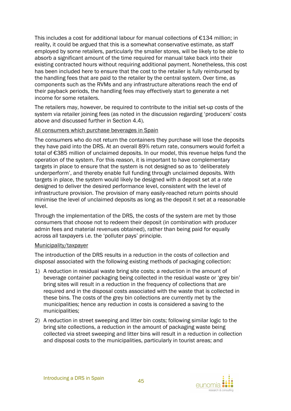This includes a cost for additional labour for manual collections of €134 million; in reality, it could be argued that this is a somewhat conservative estimate, as staff employed by some retailers, particularly the smaller stores, will be likely to be able to absorb a significant amount of the time required for manual take back into their existing contracted hours without requiring additional payment. Nonetheless, this cost has been included here to ensure that the cost to the retailer is fully reimbursed by the handling fees that are paid to the retailer by the central system. Over time, as components such as the RVMs and any infrastructure alterations reach the end of their payback periods, the handling fees may effectively start to generate a net income for some retailers.

The retailers may, however, be required to contribute to the initial set-up costs of the system via retailer joining fees (as noted in the discussion regarding 'producers' costs above and discussed further in Section 4.4).

#### All consumers which purchase beverages in Spain

The consumers who do not return the containers they purchase will lose the deposits they have paid into the DRS. At an overall 89% return rate, consumers would forfeit a total of €385 million of unclaimed deposits. In our model, this revenue helps fund the operation of the system. For this reason, it is important to have complementary targets in place to ensure that the system is not designed so as to 'deliberately underperform', and thereby enable full funding through unclaimed deposits. With targets in place, the system would likely be designed with a deposit set at a rate designed to deliver the desired performance level, consistent with the level of infrastructure provision. The provision of many easily-reached return points should minimise the level of unclaimed deposits as long as the deposit it set at a reasonable level.

Through the implementation of the DRS, the costs of the system are met by those consumers that choose not to redeem their deposit (in combination with producer admin fees and material revenues obtained), rather than being paid for equally across all taxpayers i.e. the 'polluter pays' principle.

#### Municipality/taxpayer

The introduction of the DRS results in a reduction in the costs of collection and disposal associated with the following existing methods of packaging collection:

- 1) A reduction in residual waste bring site costs; a reduction in the amount of beverage container packaging being collected in the residual waste or 'grey bin' bring sites will result in a reduction in the frequency of collections that are required and in the disposal costs associated with the waste that is collected in these bins. The costs of the grey bin collections are currently met by the municipalities; hence any reduction in costs is considered a saving to the municipalities;
- 2) A reduction in street sweeping and litter bin costs; following similar logic to the bring site collections, a reduction in the amount of packaging waste being collected via street sweeping and litter bins will result in a reduction in collection and disposal costs to the municipalities, particularly in tourist areas; and

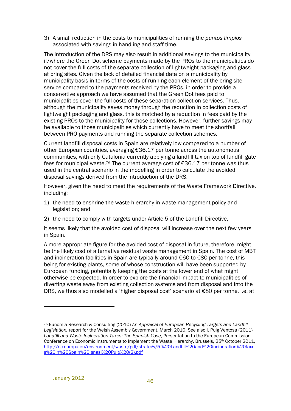3) A small reduction in the costs to municipalities of running the *puntos limpios* associated with savings in handling and staff time.

The introduction of the DRS may also result in additional savings to the municipality if/where the Green Dot scheme payments made by the PROs to the municipalities do not cover the full costs of the separate collection of lightweight packaging and glass at bring sites. Given the lack of detailed financial data on a municipality by municipality basis in terms of the costs of running each element of the bring site service compared to the payments received by the PROs, in order to provide a conservative approach we have assumed that the Green Dot fees paid to municipalities cover the full costs of these separation collection services. Thus, although the municipality saves money through the reduction in collection costs of lightweight packaging and glass, this is matched by a reduction in fees paid by the existing PROs to the municipality for those collections. However, further savings may be available to those municipalities which currently have to meet the shortfall between PRO payments and running the separate collection schemes.

Current landfill disposal costs in Spain are relatively low compared to a number of other European countries, averaging €36.17 per tonne across the autonomous communities, with only Catalonia currently applying a landfill tax on top of landfill gate fees for municipal waste.76 The current average cost of €36.17 per tonne was thus used in the central scenario in the modelling in order to calculate the avoided disposal savings derived from the introduction of the DRS.

However, given the need to meet the requirements of the Waste Framework Directive, including;

- 1) the need to enshrine the waste hierarchy in waste management policy and legislation; and
- 2) the need to comply with targets under Article 5 of the Landfill Directive,

it seems likely that the avoided cost of disposal will increase over the next few years in Spain.

A more appropriate figure for the avoided cost of disposal in future, therefore, might be the likely cost of alternative residual waste management in Spain. The cost of MBT and incineration facilities in Spain are typically around €60 to €80 per tonne, this being for existing plants, some of whose construction will have been supported by European funding, potentially keeping the costs at the lower end of what might otherwise be expected. In order to explore the financial impact to municipalities of diverting waste away from existing collection systems and from disposal and into the DRS, we thus also modelled a 'higher disposal cost' scenario at €80 per tonne, i.e. at

<sup>76</sup> Eunomia Research & Consulting (2010) *An Appraisal of European Recycling Targets and Landfill Legislation,* report for the Welsh Assembly Government, March 2010. See also I. Puig Ventosa (2011) *Landfill and Waste Incineration Taxes: The Spanish Case*, Presentation to the European Commission Conference on Economic Instruments to Implement the Waste Hierarchy, Brussels, 25<sup>th</sup> October 2011, http://ec.europa.eu/environment/waste/pdf/strategy/5.%20Landfill%20and%20incineration%20taxe s%20in%20Spain%20Ignasi%20Puig%20(2).pdf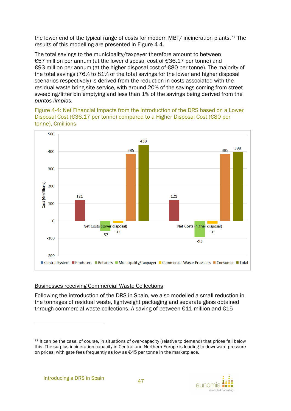the lower end of the typical range of costs for modern MBT/ incineration plants.77 The results of this modelling are presented in Figure 4-4.

The total savings to the municipality/taxpayer therefore amount to between €57 million per annum (at the lower disposal cost of €36.17 per tonne) and €93 million per annum (at the higher disposal cost of €80 per tonne). The majority of the total savings (76% to 81% of the total savings for the lower and higher disposal scenarios respectively) is derived from the reduction in costs associated with the residual waste bring site service, with around 20% of the savings coming from street sweeping/litter bin emptying and less than 1% of the savings being derived from the *puntos limpios*.

Figure 4-4: Net Financial Impacts from the Introduction of the DRS based on a Lower Disposal Cost (€36.17 per tonne) compared to a Higher Disposal Cost (€80 per tonne), €millions



#### Businesses receiving Commercial Waste Collections

Following the introduction of the DRS in Spain, we also modelled a small reduction in the tonnages of residual waste, lightweight packaging and separate glass obtained through commercial waste collections. A saving of between  $\epsilon$ 11 million and  $\epsilon$ 15



<sup>77</sup> It can be the case, of course, in situations of over-capacity (relative to demand) that prices fall below this. The surplus incineration capacity in Central and Northern Europe is leading to downward pressure on prices, with gate fees frequently as low as €45 per tonne in the marketplace.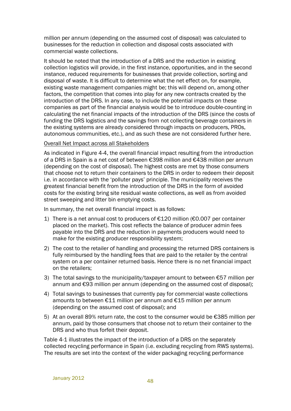million per annum (depending on the assumed cost of disposal) was calculated to businesses for the reduction in collection and disposal costs associated with commercial waste collections.

It should be noted that the introduction of a DRS and the reduction in existing collection logistics will provide, in the first instance, opportunities, and in the second instance, reduced requirements for businesses that provide collection, sorting and disposal of waste. It is difficult to determine what the net effect on, for example, existing waste management companies might be; this will depend on, among other factors, the competition that comes into play for any new contracts created by the introduction of the DRS. In any case, to include the potential impacts on these companies as part of the financial analysis would be to introduce double-counting in calculating the net financial impacts of the introduction of the DRS (since the costs of funding the DRS logistics and the savings from not collecting beverage containers in the existing systems are already considered through impacts on producers, PROs, autonomous communities, etc.), and as such these are not considered further here.

#### Overall Net Impact across all Stakeholders

As indicated in Figure 4-4, the overall financial impact resulting from the introduction of a DRS in Spain is a net cost of between €398 million and €438 million per annum (depending on the cost of disposal). The highest costs are met by those consumers that choose not to return their containers to the DRS in order to redeem their deposit i.e. in accordance with the 'polluter pays' principle. The municipality receives the greatest financial benefit from the introduction of the DRS in the form of avoided costs for the existing bring site residual waste collections, as well as from avoided street sweeping and litter bin emptying costs.

In summary, the net overall financial impact is as follows:

- 1) There is a net annual cost to producers of €120 million (€0.007 per container placed on the market). This cost reflects the balance of producer admin fees payable into the DRS and the reduction in payments producers would need to make for the existing producer responsibility system;
- 2) The cost to the retailer of handling and processing the returned DRS containers is fully reimbursed by the handling fees that are paid to the retailer by the central system on a per container returned basis. Hence there is no net financial impact on the retailers;
- 3) The total savings to the municipality/taxpayer amount to between  $\epsilon$ 57 million per annum and €93 million per annum (depending on the assumed cost of disposal);
- 4) Total savings to businesses that currently pay for commercial waste collections amounts to between €11 million per annum and €15 million per annum (depending on the assumed cost of disposal); and
- 5) At an overall 89% return rate, the cost to the consumer would be  $\epsilon$ 385 million per annum, paid by those consumers that choose not to return their container to the DRS and who thus forfeit their deposit.

Table 4-1 illustrates the impact of the introduction of a DRS on the separately collected recycling performance in Spain (i.e. excluding recycling from RWS systems). The results are set into the context of the wider packaging recycling performance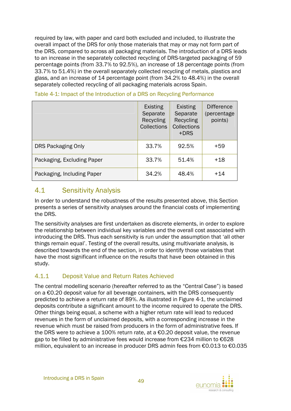required by law, with paper and card both excluded and included, to illustrate the overall impact of the DRS for only those materials that may or may not form part of the DRS, compared to across all packaging materials. The introduction of a DRS leads to an increase in the separately collected recycling of DRS-targeted packaging of 59 percentage points (from 33.7% to 92.5%), an increase of 18 percentage points (from 33.7% to 51.4%) in the overall separately collected recycling of metals, plastics and glass, and an increase of 14 percentage point (from 34.2% to 48.4%) in the overall separately collected recycling of all packaging materials across Spain.

|                            | <b>Existing</b><br>Separate<br>Recycling<br><b>Collections</b> | <b>Existing</b><br>Separate<br>Recycling<br>Collections<br>$+DRS$ | <b>Difference</b><br>(percentage)<br>points) |
|----------------------------|----------------------------------------------------------------|-------------------------------------------------------------------|----------------------------------------------|
| <b>DRS Packaging Only</b>  | 33.7%                                                          | 92.5%                                                             | +59                                          |
| Packaging, Excluding Paper | 33.7%                                                          | 51.4%                                                             | $+18$                                        |
| Packaging, Including Paper | 34.2%                                                          | 48.4%                                                             | +14                                          |

Table 4-1: Impact of the Introduction of a DRS on Recycling Performance

## 4.1 Sensitivity Analysis

In order to understand the robustness of the results presented above, this Section presents a series of sensitivity analyses around the financial costs of implementing the DRS.

The sensitivity analyses are first undertaken as discrete elements, in order to explore the relationship between individual key variables and the overall cost associated with introducing the DRS. Thus each sensitivity is run under the assumption that 'all other things remain equal'. Testing of the overall results, using multivariate analysis, is described towards the end of the section, in order to identify those variables that have the most significant influence on the results that have been obtained in this study.

## 4.1.1 Deposit Value and Return Rates Achieved

The central modelling scenario (hereafter referred to as the "Central Case") is based on a  $\epsilon$ 0.20 deposit value for all beverage containers, with the DRS consequently predicted to achieve a return rate of 89%. As illustrated in Figure 4-1, the unclaimed deposits contribute a significant amount to the income required to operate the DRS. Other things being equal, a scheme with a higher return rate will lead to reduced revenues in the form of unclaimed deposits, with a corresponding increase in the revenue which must be raised from producers in the form of administrative fees. If the DRS were to achieve a 100% return rate, at a  $\epsilon$ 0.20 deposit value, the revenue gap to be filled by administrative fees would increase from €234 million to €628 million, equivalent to an increase in producer DRS admin fees from €0.013 to €0.035

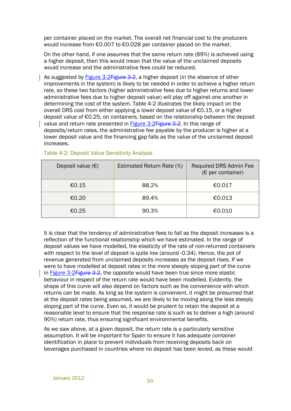per container placed on the market. The overall net financial cost to the producers would increase from €0.007 to €0.028 per container placed on the market.

On the other hand, if one assumes that the same return rate (89%) is achieved using a higher deposit, then this would mean that the value of the unclaimed deposits would increase and the administrative fees could be reduced.

As suggested by Figure 3-2Figure 3-2, a higher deposit (in the absence of other improvements in the system) is likely to be needed in order to achieve a higher return rate, so these two factors (higher administrative fees due to higher returns and lower administrative fees due to higher deposit value) will play off against one another in determining the cost of the system. Table 4-2 illustrates the likely impact on the overall DRS cost from either applying a lower deposit value of €0.15, or a higher deposit value of €0.25, on containers, based on the relationship between the deposit value and return rate presented in Figure 3-2Figure 3-2. In this range of deposits/return rates, the administrative fee payable by the producer is higher at a lower deposit value and the financing gap falls as the value of the unclaimed deposit increases.

| Deposit value $(\epsilon)$ | Estimated Return Rate (%) | Required DRS Admin Fee<br>$(E$ per container) |
|----------------------------|---------------------------|-----------------------------------------------|
| €0.15                      | 88.2%                     | €0.017                                        |
| €0.20                      | 89.4%                     | €0.013                                        |
| €0.25                      | 90.3%                     | €0.010                                        |

#### Table 4-2: Deposit Value Sensitivity Analysis

It is clear that the tendency of administrative fees to fall as the deposit increases is a reflection of the functional relationship which we have estimated. In the range of deposit values we have modelled, the elasticity of the rate of non-returned containers with respect to the level of deposit is quite low (around -0.34). Hence, the pot of revenue generated from unclaimed deposits increases as the deposit rises. If we were to have modelled at deposit rates in the more steeply sloping part of the curve in Figure 3-2Figure  $3-2$ , the opposite would have been true since more elastic behaviour in respect of the return rate would have been modelled. Evidently, the shape of this curve will also depend on factors such as the convenience with which returns can be made. As long as the system is convenient, it might be presumed that at the deposit rates being assumed, we are likely to be moving along the less steeply sloping part of the curve. Even so, it would be prudent to retain the deposit at a reasonable level to ensure that the response rate is such as to deliver a high (around 90%) return rate, thus ensuring significant environmental benefits.

As we saw above, at a given deposit, the return rate is a particularly sensitive assumption. It will be important for Spain to ensure it has adequate container identification in place to prevent individuals from receiving deposits back on beverages purchased in countries where no deposit has been levied, as these would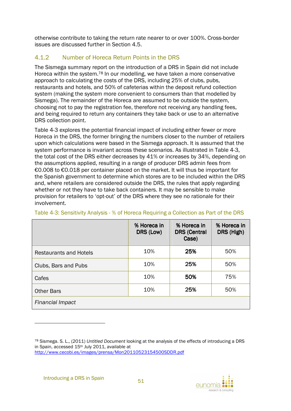otherwise contribute to taking the return rate nearer to or over 100%. Cross-border issues are discussed further in Section 4.5.

## 4.1.2 Number of Horeca Return Points in the DRS

The Sismega summary report on the introduction of a DRS in Spain did not include Horeca within the system.78 In our modelling, we have taken a more conservative approach to calculating the costs of the DRS, including 25% of clubs, pubs, restaurants and hotels, and 50% of cafeterias within the deposit refund collection system (making the system more convenient to consumers than that modelled by Sismega). The remainder of the Horeca are assumed to be outside the system, choosing not to pay the registration fee, therefore not receiving any handling fees, and being required to return any containers they take back or use to an alternative DRS collection point.

Table 4-3 explores the potential financial impact of including either fewer or more Horeca in the DRS, the former bringing the numbers closer to the number of retailers upon which calculations were based in the Sismega approach. It is assumed that the system performance is invariant across these scenarios. As illustrated in Table 4-3, the total cost of the DRS either decreases by 41% or increases by 34%, depending on the assumptions applied, resulting in a range of producer DRS admin fees from €0.008 to €0.018 per container placed on the market. It will thus be important for the Spanish government to determine which stores are to be included within the DRS and, where retailers are considered outside the DRS, the rules that apply regarding whether or not they have to take back containers. It may be sensible to make provision for retailers to 'opt-out' of the DRS where they see no rationale for their involvement.

|                               | % Horeca in<br>DRS (Low) | % Horeca in<br><b>DRS (Central</b><br>Case) | % Horeca in<br>DRS (High) |
|-------------------------------|--------------------------|---------------------------------------------|---------------------------|
| <b>Restaurants and Hotels</b> | 10%                      | 25%                                         | 50%                       |
| Clubs, Bars and Pubs          | 10%                      | 25%                                         | 50%                       |
| Cafes                         | 10%                      | 50%                                         | 75%                       |
| <b>Other Bars</b>             | 10%                      | 25%                                         | 50%                       |
| Financial Impact              |                          |                                             |                           |

Table 4-3: Sensitivity Analysis - % of Horeca Requiring a Collection as Part of the DRS



<sup>78</sup> Sismega. S. L., (2011) *Untitled Document* looking at the analysis of the effects of introducing a DRS in Spain, accessed 15<sup>th</sup> July 2011, available at http://www.cecobi.es/images/prensa/Mon20110523154500SDDR.pdf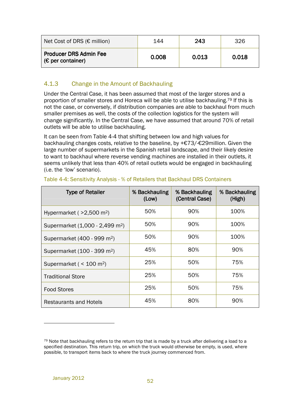| Net Cost of DRS ( $\epsilon$ million)                       | 144   | 243   | 326   |
|-------------------------------------------------------------|-------|-------|-------|
| <b>Producer DRS Admin Fee</b><br>$(\epsilon$ per container) | 0.008 | 0.013 | 0.018 |

## 4.1.3 Change in the Amount of Backhauling

Under the Central Case, it has been assumed that most of the larger stores and a proportion of smaller stores and Horeca will be able to utilise backhauling.79 If this is not the case, or conversely, if distribution companies are able to backhaul from much smaller premises as well, the costs of the collection logistics for the system will change significantly. In the Central Case, we have assumed that around 70% of retail outlets will be able to utilise backhauling.

It can be seen from Table 4-4 that shifting between low and high values for backhauling changes costs, relative to the baseline, by +€73/-€29million. Given the large number of supermarkets in the Spanish retail landscape, and their likely desire to want to backhaul where reverse vending machines are installed in their outlets, it seems unlikely that less than 40% of retail outlets would be engaged in backhauling (i.e. the 'low' scenario).

| <b>Type of Retailer</b>                     | % Backhauling<br>(Low) | % Backhauling<br>(Central Case) | % Backhauling<br>(High) |
|---------------------------------------------|------------------------|---------------------------------|-------------------------|
| Hypermarket ( $>2,500$ m <sup>2</sup> )     | 50%                    | 90%                             | 100%                    |
| Supermarket (1,000 - 2,499 m <sup>2</sup> ) | 50%                    | 90%                             | 100%                    |
| Supermarket (400 - 999 m <sup>2</sup> )     | 50%                    | 90%                             | 100%                    |
| Supermarket (100 - 399 m <sup>2</sup> )     | 45%                    | 80%                             | 90%                     |
| Supermarket ( $<$ 100 m <sup>2</sup> )      | 25%                    | 50%                             | 75%                     |
| <b>Traditional Store</b>                    | 25%                    | 50%                             | 75%                     |
| <b>Food Stores</b>                          | 25%                    | 50%                             | 75%                     |
| Restaurants and Hotels                      | 45%                    | 80%                             | 90%                     |

#### Table 4-4: Sensitivity Analysis - % of Retailers that Backhaul DRS Containers

 $79$  Note that backhauling refers to the return trip that is made by a truck after delivering a load to a specified destination. This return trip, on which the truck would otherwise be empty, is used, where possible, to transport items back to where the truck journey commenced from.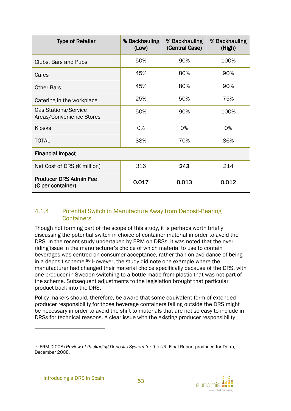| <b>Type of Retailer</b>                                 | % Backhauling<br>(Low) | % Backhauling<br>(Central Case) | % Backhauling<br>(High) |  |  |
|---------------------------------------------------------|------------------------|---------------------------------|-------------------------|--|--|
| Clubs, Bars and Pubs                                    | 50%                    | 90%                             | 100%                    |  |  |
| Cafes                                                   | 45%                    | 80%                             | 90%                     |  |  |
| <b>Other Bars</b>                                       | 45%                    | 80%                             | 90%                     |  |  |
| Catering in the workplace                               | 25%                    | 50%                             | 75%                     |  |  |
| <b>Gas Stations/Service</b><br>Areas/Convenience Stores | 50%                    | 90%                             | 100%                    |  |  |
| <b>Kiosks</b>                                           | 0%                     | 0%                              | 0%                      |  |  |
| <b>TOTAL</b>                                            | 38%                    | 70%                             | 86%                     |  |  |
| <b>Financial Impact</b>                                 |                        |                                 |                         |  |  |
| Net Cost of DRS ( $\epsilon$ million)                   | 316                    | 243                             | 214                     |  |  |
| <b>Producer DRS Admin Fee</b><br>$(E$ per container)    | 0.017                  | 0.013                           | 0.012                   |  |  |

### 4.1.4 Potential Switch in Manufacture Away from Deposit-Bearing **Containers**

Though not forming part of the scope of this study, it is perhaps worth briefly discussing the potential switch in choice of container material in order to avoid the DRS. In the recent study undertaken by ERM on DRSs, it was noted that the overriding issue in the manufacturer's choice of which material to use to contain beverages was centred on consumer acceptance, rather than on avoidance of being in a deposit scheme.80 However, the study did note one example where the manufacturer had changed their material choice specifically because of the DRS, with one producer in Sweden switching to a bottle made from plastic that was not part of the scheme. Subsequent adjustments to the legislation brought that particular product back into the DRS.

Policy makers should, therefore, be aware that some equivalent form of extended producer responsibility for those beverage containers falling outside the DRS might be necessary in order to avoid the shift to materials that are not so easy to include in DRSs for technical reasons. A clear issue with the existing producer responsibility



<sup>80</sup> ERM (2008) *Review of Packaging Deposits System for the UK*, Final Report produced for Defra, December 2008.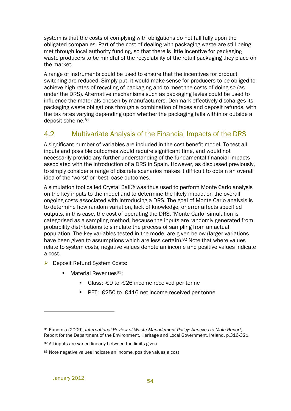system is that the costs of complying with obligations do not fall fully upon the obligated companies. Part of the cost of dealing with packaging waste are still being met through local authority funding, so that there is little incentive for packaging waste producers to be mindful of the recyclability of the retail packaging they place on the market.

A range of instruments could be used to ensure that the incentives for product switching are reduced. Simply put, it would make sense for producers to be obliged to achieve high rates of recycling of packaging and to meet the costs of doing so (as under the DRS). Alternative mechanisms such as packaging levies could be used to influence the materials chosen by manufacturers. Denmark effectively discharges its packaging waste obligations through a combination of taxes and deposit refunds, with the tax rates varying depending upon whether the packaging falls within or outside a deposit scheme.<sup>81</sup>

## 4.2 Multivariate Analysis of the Financial Impacts of the DRS

A significant number of variables are included in the cost benefit model. To test all inputs and possible outcomes would require significant time, and would not necessarily provide any further understanding of the fundamental financial impacts associated with the introduction of a DRS in Spain. However, as discussed previously, to simply consider a range of discrete scenarios makes it difficult to obtain an overall idea of the 'worst' or 'best' case outcomes.

A simulation tool called Crystal Ball® was thus used to perform Monte Carlo analysis on the key inputs to the model and to determine the likely impact on the overall ongoing costs associated with introducing a DRS. The goal of Monte Carlo analysis is to determine how random variation, lack of knowledge, or error affects specified outputs, in this case, the cost of operating the DRS. 'Monte Carlo' simulation is categorised as a sampling method, because the inputs are randomly generated from probability distributions to simulate the process of sampling from an actual population. The key variables tested in the model are given below (larger variations have been given to assumptions which are less certain).82 Note that where values relate to system costs, negative values denote an income and positive values indicate a cost.

- ▶ Deposit Refund System Costs:
	- Material Revenues $83$ :
		- -Glass: -€9 to -€26 income received per tonne
		- -PET: -€250 to -€416 net income received per tonne

<sup>81</sup> Eunomia (2009), *International Review of Waste Management Policy: Annexes to Main Report,* Report for the Department of the Environment, Heritage and Local Government, Ireland, p.316-321

<sup>82</sup> All inputs are varied linearly between the limits given.

<sup>83</sup> Note negative values indicate an income, positive values a cost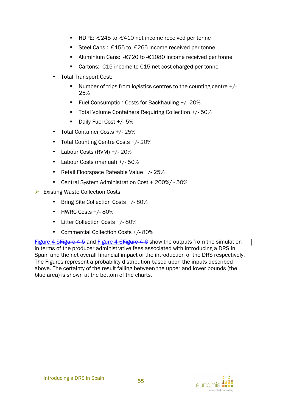- HDPE: €245 to €410 net income received per tonne
- Steel Cans: €155 to €265 income received per tonne
- Aluminium Cans: -€720 to -€1080 income received per tonne
- Cartons:  $€15$  income to €15 net cost charged per tonne
- Total Transport Cost:
	- Number of trips from logistics centres to the counting centre +/-25%
	- **Fuel Consumption Costs for Backhauling +/-20%**
	- **Total Volume Containers Requiring Collection +/- 50%**
	- -Daily Fuel Cost +/- 5%
- Total Container Costs +/- 25%
- Total Counting Centre Costs +/- 20%
- Labour Costs (RVM) +/- 20%
- Labour Costs (manual) +/- 50%
- Retail Floorspace Rateable Value +/- 25%
- Central System Administration Cost + 200%/ 50%
- $\triangleright$  Existing Waste Collection Costs
	- Bring Site Collection Costs +/- 80%
	- HWRC Costs +/- 80%
	- Litter Collection Costs +/- 80%
	- Commercial Collection Costs +/- 80%

Figure 4-5 Figure 4-5 and Figure 4-6 Figure 4-6 show the outputs from the simulation in terms of the producer administrative fees associated with introducing a DRS in Spain and the net overall financial impact of the introduction of the DRS respectively. The Figures represent a probability distribution based upon the inputs described above. The certainty of the result falling between the upper and lower bounds (the blue area) is shown at the bottom of the charts.

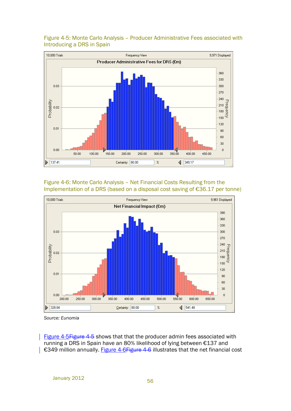

#### Figure 4-5: Monte Carlo Analysis – Producer Administrative Fees associated with Introducing a DRS in Spain

Figure 4-6: Monte Carlo Analysis – Net Financial Costs Resulting from the Implementation of a DRS (based on a disposal cost saving of €36.17 per tonne)



*Source: Eunomia* 

Figure 4-5 Figure 4-5 shows that that the producer admin fees associated with running a DRS in Spain have an 80% likelihood of lying between €137 and €349 million annually. Figure 4-6 Figure 4-6 illustrates that the net financial cost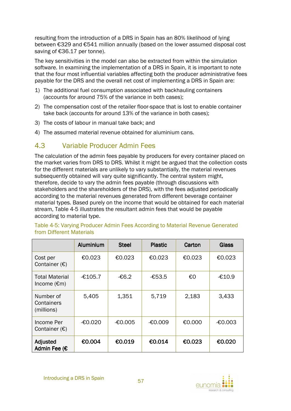resulting from the introduction of a DRS in Spain has an 80% likelihood of lying between €329 and €541 million annually (based on the lower assumed disposal cost saving of €36.17 per tonne).

The key sensitivities in the model can also be extracted from within the simulation software. In examining the implementation of a DRS in Spain, it is important to note that the four most influential variables affecting both the producer administrative fees payable for the DRS and the overall net cost of implementing a DRS in Spain are:

- 1) The additional fuel consumption associated with backhauling containers (accounts for around 75% of the variance in both cases);
- 2) The compensation cost of the retailer floor-space that is lost to enable container take back (accounts for around 13% of the variance in both cases);
- 3) The costs of labour in manual take back; and
- 4) The assumed material revenue obtained for aluminium cans.

## 4.3 Variable Producer Admin Fees

The calculation of the admin fees payable by producers for every container placed on the market varies from DRS to DRS. Whilst it might be argued that the collection costs for the different materials are unlikely to vary substantially, the material revenues subsequently obtained will vary quite significantly. The central system might, therefore, decide to vary the admin fees payable (through discussions with stakeholders and the shareholders of the DRS), with the fees adjusted periodically according to the material revenues generated from different beverage container material types. Based purely on the income that would be obtained for each material stream, Table 4-5 illustrates the resultant admin fees that would be payable according to material type.

|                                                | Aluminium | <b>Steel</b> | <b>Plastic</b> | Carton | <b>Glass</b> |
|------------------------------------------------|-----------|--------------|----------------|--------|--------------|
| Cost per<br>Container $(E)$                    | €0.023    | €0.023       | €0.023         | €0.023 | €0.023       |
| <b>Total Material</b><br>Income $(\epsilon m)$ | -€105.7   | -€6.2        | -€53.5         | €0     | -€10.9       |
| Number of<br>Containers<br>(millions)          | 5,405     | 1,351        | 5,719          | 2,183  | 3,433        |
| Income Per<br>Container $(E)$                  | $-60.020$ | $-60.005$    | -€0.009        | €0.000 | $-60.003$    |
| Adjusted<br>Admin Fee (€                       | €0.004    | €0.019       | €0.014         | €0.023 | €0.020       |

Table 4-5: Varying Producer Admin Fees According to Material Revenue Generated from Different Materials

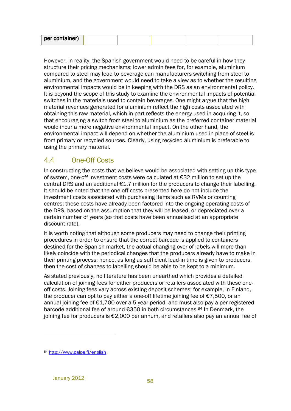| per container) |  |
|----------------|--|
|----------------|--|

However, in reality, the Spanish government would need to be careful in how they structure their pricing mechanisms; lower admin fees for, for example, aluminium compared to steel may lead to beverage can manufacturers switching from steel to aluminium, and the government would need to take a view as to whether the resulting environmental impacts would be in keeping with the DRS as an environmental policy. It is beyond the scope of this study to examine the environmental impacts of potential switches in the materials used to contain beverages. One might argue that the high material revenues generated for aluminium reflect the high costs associated with obtaining this raw material, which in part reflects the energy used in acquiring it, so that encouraging a switch from steel to aluminium as the preferred container material would incur a more negative environmental impact. On the other hand, the environmental impact will depend on whether the aluminium used in place of steel is from primary or recycled sources. Clearly, using recycled aluminium is preferable to using the primary material.

## 4.4 One-Off Costs

In constructing the costs that we believe would be associated with setting up this type of system, one-off investment costs were calculated at €32 million to set up the central DRS and an additional €1.7 million for the producers to change their labelling. It should be noted that the one-off costs presented here do not include the investment costs associated with purchasing items such as RVMs or counting centres; these costs have already been factored into the ongoing operating costs of the DRS, based on the assumption that they will be leased, or depreciated over a certain number of years (so that costs have been annualised at an appropriate discount rate).

It is worth noting that although some producers may need to change their printing procedures in order to ensure that the correct barcode is applied to containers destined for the Spanish market, the actual changing over of labels will more than likely coincide with the periodical changes that the producers already have to make in their printing process; hence, as long as sufficient lead-in time is given to producers, then the cost of changes to labelling should be able to be kept to a minimum.

As stated previously, no literature has been unearthed which provides a detailed calculation of joining fees for either producers or retailers associated with these oneoff costs. Joining fees vary across existing deposit schemes; for example, in Finland, the producer can opt to pay either a one-off lifetime joining fee of €7,500, or an annual joining fee of €1,700 over a 5 year period, and must also pay a per registered barcode additional fee of around €350 in both circumstances.84 In Denmark, the joining fee for producers is €2,000 per annum, and retailers also pay an annual fee of

 $\overline{a}$ 

<sup>84</sup> http://www.palpa.fi/english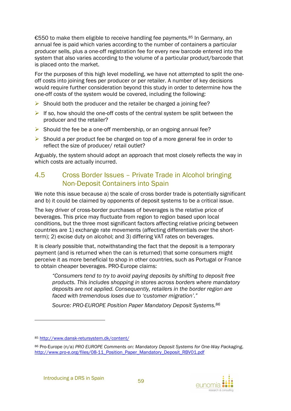€550 to make them eligible to receive handling fee payments.85 In Germany, an annual fee is paid which varies according to the number of containers a particular producer sells, plus a one-off registration fee for every new barcode entered into the system that also varies according to the volume of a particular product/barcode that is placed onto the market.

For the purposes of this high level modelling, we have not attempted to split the oneoff costs into joining fees per producer or per retailer. A number of key decisions would require further consideration beyond this study in order to determine how the one-off costs of the system would be covered, including the following:

- $\triangleright$  Should both the producer and the retailer be charged a joining fee?
- If so, how should the one-off costs of the central system be split between the producer and the retailer?
- $\triangleright$  Should the fee be a one-off membership, or an ongoing annual fee?
- $\triangleright$  Should a per product fee be charged on top of a more general fee in order to reflect the size of producer/ retail outlet?

Arguably, the system should adopt an approach that most closely reflects the way in which costs are actually incurred.

## 4.5 Cross Border Issues – Private Trade in Alcohol bringing Non-Deposit Containers into Spain

We note this issue because a) the scale of cross border trade is potentially significant and b) it could be claimed by opponents of deposit systems to be a critical issue.

The key driver of cross-border purchases of beverages is the relative price of beverages. This price may fluctuate from region to region based upon local conditions, but the three most significant factors affecting relative pricing between countries are 1) exchange rate movements (affecting differentials over the shortterm); 2) excise duty on alcohol; and 3) differing VAT rates on beverages.

It is clearly possible that, notwithstanding the fact that the deposit is a temporary payment (and is returned when the can is returned) that some consumers might perceive it as more beneficial to shop in other countries, such as Portugal or France to obtain cheaper beverages. PRO-Europe claims:

*"Consumers tend to try to avoid paying deposits by shifting to deposit free products. This includes shopping in stores across borders where mandatory deposits are not applied. Consequently, retailers in the border region are faced with tremendous loses due to 'customer migration'."* 

*Source: PRO-EUROPE Position Paper Mandatory Deposit Systems.<sup>86</sup>*

 $\overline{a}$ 



<sup>85</sup> http://www.dansk-retursystem.dk/content/

<sup>86</sup> Pro-Europe (n/a) *PRO EUROPE Comments on: Mandatory Deposit Systems for One-Way Packaging*, http://www.pro-e.org/files/08-11\_Position\_Paper\_Mandatory\_Deposit\_RBV01.pdf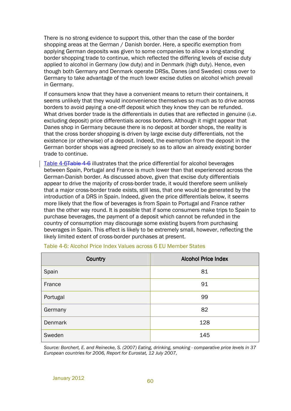There is no strong evidence to support this, other than the case of the border shopping areas at the German / Danish border. Here, a specific exemption from applying German deposits was given to some companies to allow a long-standing border shopping trade to continue, which reflected the differing levels of excise duty applied to alcohol in Germany (low duty) and in Denmark (high duty). Hence, even though both Germany and Denmark operate DRSs, Danes (and Swedes) cross over to Germany to take advantage of the much lower excise duties on alcohol which prevail in Germany.

If consumers know that they have a convenient means to return their containers, it seems unlikely that they would inconvenience themselves so much as to drive across borders to avoid paying a one-off deposit which they know they can be refunded. What drives border trade is the differentials in duties that are reflected in genuine (i.e. excluding deposit) price differentials across borders. Although it might appear that Danes shop in Germany because there is no deposit at border shops, the reality is that the cross border shopping is driven by large excise duty differentials, not the existence (or otherwise) of a deposit. Indeed, the exemption from the deposit in the German border shops was agreed precisely so as to allow an already existing border trade to continue.

Table 4-6Table 4-6 illustrates that the price differential for alcohol beverages between Spain, Portugal and France is much lower than that experienced across the German-Danish border. As discussed above, given that excise duty differentials appear to drive the majority of cross-border trade, it would therefore seem unlikely that a major cross-border trade exists, still less, that one would be generated by the introduction of a DRS in Spain. Indeed, given the price differentials below, it seems more likely that the flow of beverages is from Spain to Portugal and France rather than the other way round. It is possible that if some consumers make trips to Spain to purchase beverages, the payment of a deposit which cannot be refunded in the country of consumption may discourage some existing buyers from purchasing beverages in Spain. This effect is likely to be extremely small, however, reflecting the likely limited extent of cross-border purchases at present.

| Country  | <b>Alcohol Price Index</b> |
|----------|----------------------------|
| Spain    | 81                         |
| France   | 91                         |
| Portugal | 99                         |
| Germany  | 82                         |
| Denmark  | 128                        |
| Sweden   | 145                        |

Table 4-6: Alcohol Price Index Values across 6 EU Member States

*Source: Borchert, E. and Reinecke, S. (2007) Eating, drinking, smoking - comparative price levels in 37 European countries for 2006, Report for Eurostat, 12 July 2007,*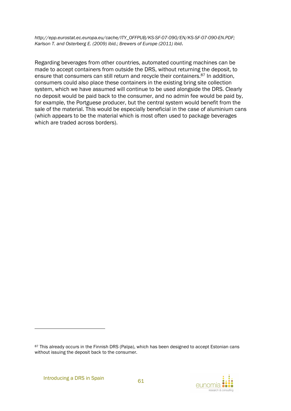*http://epp.eurostat.ec.europa.eu/cache/ITY\_OFFPUB/KS-SF-07-090/EN/KS-SF-07-090-EN.PDF; Karlson T. and Osterberg E. (2009) ibid.; Brewers of Europe (2011) ibid*.

Regarding beverages from other countries, automated counting machines can be made to accept containers from outside the DRS, without returning the deposit, to ensure that consumers can still return and recycle their containers.87 In addition, consumers could also place these containers in the existing bring site collection system, which we have assumed will continue to be used alongside the DRS. Clearly no deposit would be paid back to the consumer, and no admin fee would be paid by, for example, the Portguese producer, but the central system would benefit from the sale of the material. This would be especially beneficial in the case of aluminium cans (which appears to be the material which is most often used to package beverages which are traded across borders).

<sup>87</sup> This already occurs in the Finnish DRS (Palpa), which has been designed to accept Estonian cans without issuing the deposit back to the consumer.



 $\overline{a}$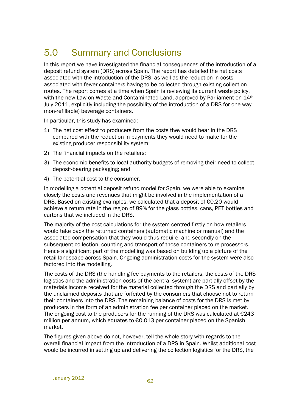## 5.0 Summary and Conclusions

In this report we have investigated the financial consequences of the introduction of a deposit refund system (DRS) across Spain. The report has detailed the net costs associated with the introduction of the DRS, as well as the reduction in costs associated with fewer containers having to be collected through existing collection routes. The report comes at a time when Spain is reviewing its current waste policy, with the new Law on Waste and Contaminated Land, approved by Parliament on 14th July 2011, explicitly including the possibility of the introduction of a DRS for one-way (non-refillable) beverage containers.

In particular, this study has examined:

- 1) The net cost effect to producers from the costs they would bear in the DRS compared with the reduction in payments they would need to make for the existing producer responsibility system;
- 2) The financial impacts on the retailers;
- 3) The economic benefits to local authority budgets of removing their need to collect deposit-bearing packaging; and
- 4) The potential cost to the consumer.

In modelling a potential deposit refund model for Spain, we were able to examine closely the costs and revenues that might be involved in the implementation of a DRS. Based on existing examples, we calculated that a deposit of €0.20 would achieve a return rate in the region of 89% for the glass bottles, cans, PET bottles and cartons that we included in the DRS.

The majority of the cost calculations for the system centred firstly on how retailers would take back the returned containers (automatic machine or manual) and the associated compensation that they would thus require, and secondly on the subsequent collection, counting and transport of those containers to re-processors. Hence a significant part of the modelling was based on building up a picture of the retail landscape across Spain. Ongoing administration costs for the system were also factored into the modelling.

The costs of the DRS (the handling fee payments to the retailers, the costs of the DRS logistics and the administration costs of the central system) are partially offset by the materials income received for the material collected through the DRS and partially by the unclaimed deposits that are forfeited by the consumers that choose not to return their containers into the DRS. The remaining balance of costs for the DRS is met by producers in the form of an administration fee per container placed on the market. The ongoing cost to the producers for the running of the DRS was calculated at  $E$ 243 million per annum, which equates to €0.013 per container placed on the Spanish market.

The figures given above do not, however, tell the whole story with regards to the overall financial impact from the introduction of a DRS in Spain. Whilst additional cost would be incurred in setting up and delivering the collection logistics for the DRS, the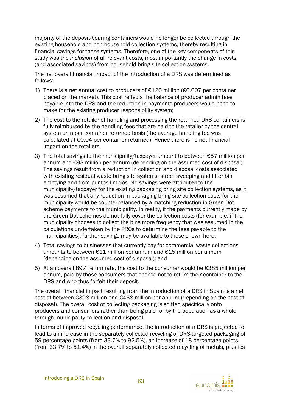majority of the deposit-bearing containers would no longer be collected through the existing household and non-household collection systems, thereby resulting in financial savings for those systems. Therefore, one of the key components of this study was the *inclusion* of all relevant costs, most importantly the change in costs (and associated savings) from household bring site collection systems.

The net overall financial impact of the introduction of a DRS was determined as follows:

- 1) There is a net annual cost to producers of €120 million (€0.007 per container placed on the market). This cost reflects the balance of producer admin fees payable into the DRS and the reduction in payments producers would need to make for the existing producer responsibility system;
- 2) The cost to the retailer of handling and processing the returned DRS containers is fully reimbursed by the handling fees that are paid to the retailer by the central system on a per container returned basis (the average handling fee was calculated at €0.04 per container returned). Hence there is no net financial impact on the retailers;
- 3) The total savings to the municipality/taxpayer amount to between  $\epsilon$ 57 million per annum and €93 million per annum (depending on the assumed cost of disposal). The savings result from a reduction in collection and disposal costs associated with existing residual waste bring site systems, street sweeping and litter bin emptying and from puntos limpios. No savings were attributed to the municipality/taxpayer for the existing packaging bring site collection systems, as it was assumed that any reduction in packaging bring site collection costs for the municipality would be counterbalanced by a matching reduction in Green Dot scheme payments to the municipality. In reality, if the payments currently made by the Green Dot schemes do not fully cover the collection costs (for example, if the municipality chooses to collect the bins more frequency that was assumed in the calculations undertaken by the PROs to determine the fees payable to the municipalities), further savings may be available to those shown here;
- 4) Total savings to businesses that currently pay for commercial waste collections amounts to between €11 million per annum and €15 million per annum (depending on the assumed cost of disposal); and
- 5) At an overall 89% return rate, the cost to the consumer would be  $\epsilon$ 385 million per annum, paid by those consumers that choose not to return their container to the DRS and who thus forfeit their deposit.

The overall financial impact resulting from the introduction of a DRS in Spain is a net cost of between €398 million and €438 million per annum (depending on the cost of disposal). The overall cost of collecting packaging is shifted specifically onto producers and consumers rather than being paid for by the population as a whole through municipality collection and disposal.

In terms of improved recycling performance, the introduction of a DRS is projected to lead to an increase in the separately collected recycling of DRS-targeted packaging of 59 percentage points (from 33.7% to 92.5%), an increase of 18 percentage points (from 33.7% to 51.4%) in the overall separately collected recycling of metals, plastics